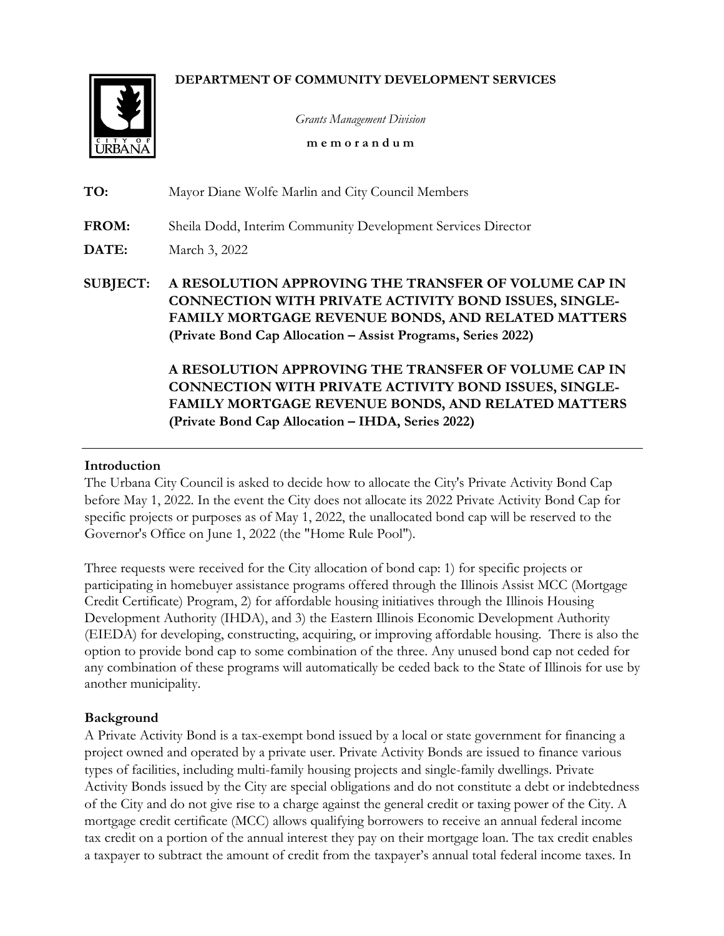### **DEPARTMENT OF COMMUNITY DEVELOPMENT SERVICES**



*Grants Management Division*

**m e m o r a n d u m**

| TO:             | Mayor Diane Wolfe Marlin and City Council Members                                                                                                                                                                                      |
|-----------------|----------------------------------------------------------------------------------------------------------------------------------------------------------------------------------------------------------------------------------------|
| FROM:<br>DATE:  | Sheila Dodd, Interim Community Development Services Director<br>March 3, 2022                                                                                                                                                          |
| <b>SUBJECT:</b> | A RESOLUTION APPROVING THE TRANSFER OF VOLUME CAP IN                                                                                                                                                                                   |
|                 | <b>CONNECTION WITH PRIVATE ACTIVITY BOND ISSUES, SINGLE-</b><br><b>FAMILY MORTGAGE REVENUE BONDS, AND RELATED MATTERS</b><br>(Private Bond Cap Allocation - Assist Programs, Series 2022)                                              |
|                 | A RESOLUTION APPROVING THE TRANSFER OF VOLUME CAP IN<br><b>CONNECTION WITH PRIVATE ACTIVITY BOND ISSUES, SINGLE-</b><br><b>FAMILY MORTGAGE REVENUE BONDS, AND RELATED MATTERS</b><br>(Private Bond Cap Allocation – IHDA, Series 2022) |

#### **Introduction**

The Urbana City Council is asked to decide how to allocate the City's Private Activity Bond Cap before May 1, 2022. In the event the City does not allocate its 2022 Private Activity Bond Cap for specific projects or purposes as of May 1, 2022, the unallocated bond cap will be reserved to the Governor's Office on June 1, 2022 (the "Home Rule Pool").

Three requests were received for the City allocation of bond cap: 1) for specific projects or participating in homebuyer assistance programs offered through the Illinois Assist MCC (Mortgage Credit Certificate) Program, 2) for affordable housing initiatives through the Illinois Housing Development Authority (IHDA), and 3) the Eastern Illinois Economic Development Authority (EIEDA) for developing, constructing, acquiring, or improving affordable housing. There is also the option to provide bond cap to some combination of the three. Any unused bond cap not ceded for any combination of these programs will automatically be ceded back to the State of Illinois for use by another municipality.

### **Background**

A Private Activity Bond is a tax-exempt bond issued by a local or state government for financing a project owned and operated by a private user. Private Activity Bonds are issued to finance various types of facilities, including multi-family housing projects and single-family dwellings. Private Activity Bonds issued by the City are special obligations and do not constitute a debt or indebtedness of the City and do not give rise to a charge against the general credit or taxing power of the City. A mortgage credit certificate (MCC) allows qualifying borrowers to receive an annual federal income tax credit on a portion of the annual interest they pay on their mortgage loan. The tax credit enables a taxpayer to subtract the amount of credit from the taxpayer's annual total federal income taxes. In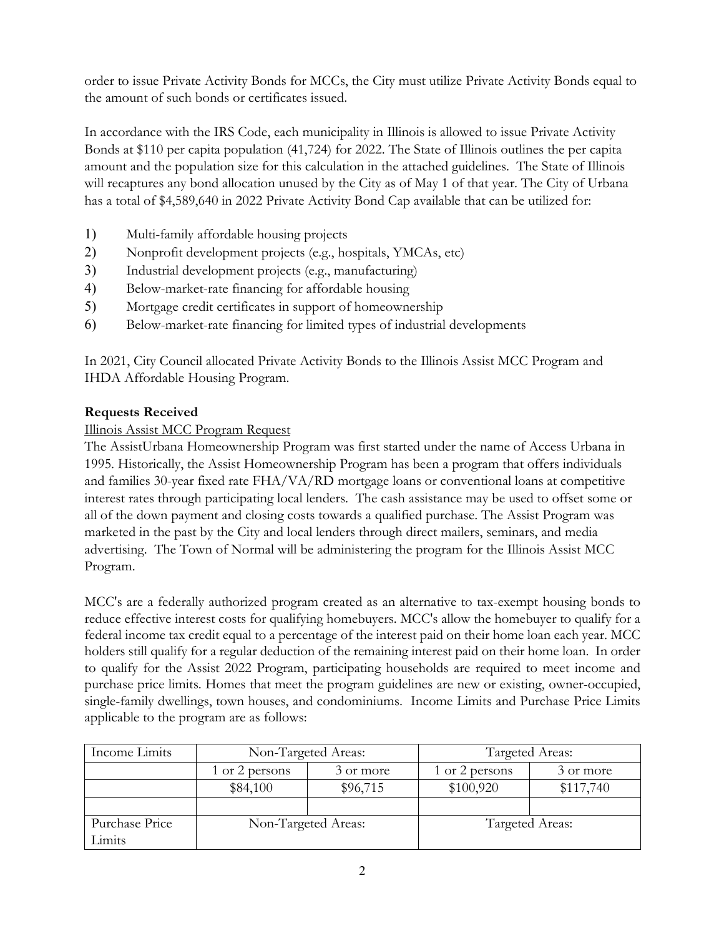order to issue Private Activity Bonds for MCCs, the City must utilize Private Activity Bonds equal to the amount of such bonds or certificates issued.

In accordance with the IRS Code, each municipality in Illinois is allowed to issue Private Activity Bonds at \$110 per capita population (41,724) for 2022. The State of Illinois outlines the per capita amount and the population size for this calculation in the attached guidelines. The State of Illinois will recaptures any bond allocation unused by the City as of May 1 of that year. The City of Urbana has a total of \$4,589,640 in 2022 Private Activity Bond Cap available that can be utilized for:

- 1) Multi-family affordable housing projects
- 2) Nonprofit development projects (e.g., hospitals, YMCAs, etc)
- 3) Industrial development projects (e.g., manufacturing)
- 4) Below-market-rate financing for affordable housing
- 5) Mortgage credit certificates in support of homeownership
- 6) Below-market-rate financing for limited types of industrial developments

In 2021, City Council allocated Private Activity Bonds to the Illinois Assist MCC Program and IHDA Affordable Housing Program.

# **Requests Received**

### Illinois Assist MCC Program Request

The AssistUrbana Homeownership Program was first started under the name of Access Urbana in 1995. Historically, the Assist Homeownership Program has been a program that offers individuals and families 30-year fixed rate FHA/VA/RD mortgage loans or conventional loans at competitive interest rates through participating local lenders. The cash assistance may be used to offset some or all of the down payment and closing costs towards a qualified purchase. The Assist Program was marketed in the past by the City and local lenders through direct mailers, seminars, and media advertising. The Town of Normal will be administering the program for the Illinois Assist MCC Program.

MCC's are a federally authorized program created as an alternative to tax-exempt housing bonds to reduce effective interest costs for qualifying homebuyers. MCC's allow the homebuyer to qualify for a federal income tax credit equal to a percentage of the interest paid on their home loan each year. MCC holders still qualify for a regular deduction of the remaining interest paid on their home loan. In order to qualify for the Assist 2022 Program, participating households are required to meet income and purchase price limits. Homes that meet the program guidelines are new or existing, owner-occupied, single-family dwellings, town houses, and condominiums. Income Limits and Purchase Price Limits applicable to the program are as follows:

| Income Limits            | Non-Targeted Areas:         |          | Targeted Areas: |           |
|--------------------------|-----------------------------|----------|-----------------|-----------|
|                          | 1 or 2 persons<br>3 or more |          | 1 or 2 persons  | 3 or more |
|                          | \$84,100                    | \$96,715 | \$100,920       | \$117,740 |
|                          |                             |          |                 |           |
| Purchase Price<br>Limits | Non-Targeted Areas:         |          | Targeted Areas: |           |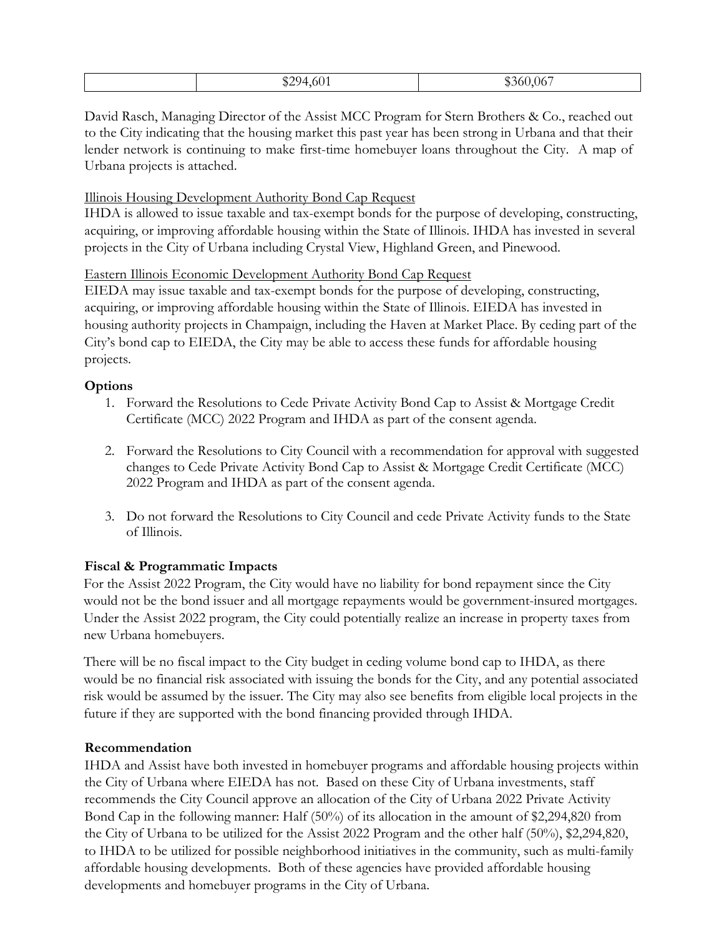| -601<br>$^{\ast}$ 204 m<br>مصرتها | $\sim$ $-$<br>ar 1<br>-360 C<br>0 <sub>0</sub> |
|-----------------------------------|------------------------------------------------|

David Rasch, Managing Director of the Assist MCC Program for Stern Brothers & Co., reached out to the City indicating that the housing market this past year has been strong in Urbana and that their lender network is continuing to make first-time homebuyer loans throughout the City. A map of Urbana projects is attached.

# Illinois Housing Development Authority Bond Cap Request

IHDA is allowed to issue taxable and tax-exempt bonds for the purpose of developing, constructing, acquiring, or improving affordable housing within the State of Illinois. IHDA has invested in several projects in the City of Urbana including Crystal View, Highland Green, and Pinewood.

# Eastern Illinois Economic Development Authority Bond Cap Request

EIEDA may issue taxable and tax-exempt bonds for the purpose of developing, constructing, acquiring, or improving affordable housing within the State of Illinois. EIEDA has invested in housing authority projects in Champaign, including the Haven at Market Place. By ceding part of the City's bond cap to EIEDA, the City may be able to access these funds for affordable housing projects.

# **Options**

- 1. Forward the Resolutions to Cede Private Activity Bond Cap to Assist & Mortgage Credit Certificate (MCC) 2022 Program and IHDA as part of the consent agenda.
- 2. Forward the Resolutions to City Council with a recommendation for approval with suggested changes to Cede Private Activity Bond Cap to Assist & Mortgage Credit Certificate (MCC) 2022 Program and IHDA as part of the consent agenda.
- 3. Do not forward the Resolutions to City Council and cede Private Activity funds to the State of Illinois.

# **Fiscal & Programmatic Impacts**

For the Assist 2022 Program, the City would have no liability for bond repayment since the City would not be the bond issuer and all mortgage repayments would be government-insured mortgages. Under the Assist 2022 program, the City could potentially realize an increase in property taxes from new Urbana homebuyers.

There will be no fiscal impact to the City budget in ceding volume bond cap to IHDA, as there would be no financial risk associated with issuing the bonds for the City, and any potential associated risk would be assumed by the issuer. The City may also see benefits from eligible local projects in the future if they are supported with the bond financing provided through IHDA.

# **Recommendation**

IHDA and Assist have both invested in homebuyer programs and affordable housing projects within the City of Urbana where EIEDA has not. Based on these City of Urbana investments, staff recommends the City Council approve an allocation of the City of Urbana 2022 Private Activity Bond Cap in the following manner: Half (50%) of its allocation in the amount of \$2,294,820 from the City of Urbana to be utilized for the Assist 2022 Program and the other half (50%), \$2,294,820, to IHDA to be utilized for possible neighborhood initiatives in the community, such as multi-family affordable housing developments. Both of these agencies have provided affordable housing developments and homebuyer programs in the City of Urbana.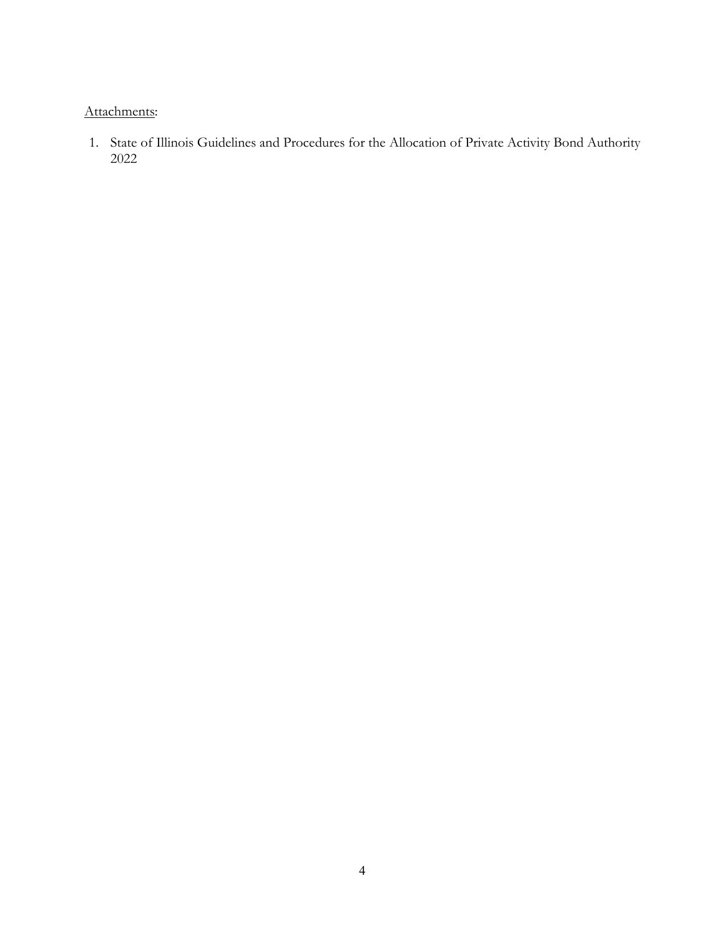# Attachments:

1. State of Illinois Guidelines and Procedures for the Allocation of Private Activity Bond Authority 2022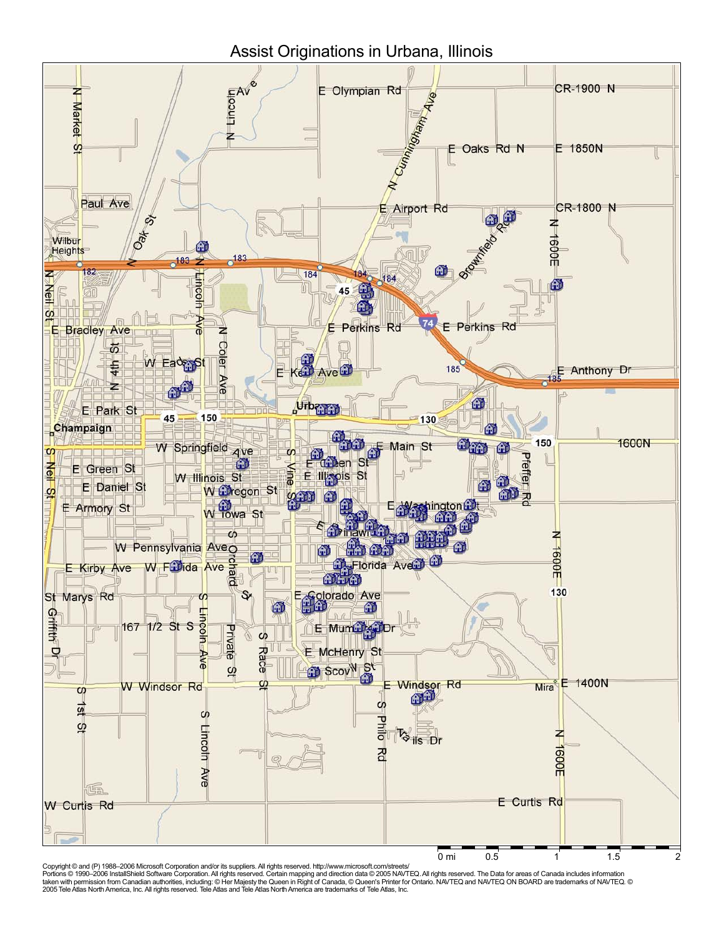

Copyright © and (P) 1988–2006 Microsoft Corporation and/or its suppliers. All rights reserved. http://www.microsoft.com/streets/<br>Portions © 1990–2006 InstallShield Software Corporation. All rights reserved. Certain mappin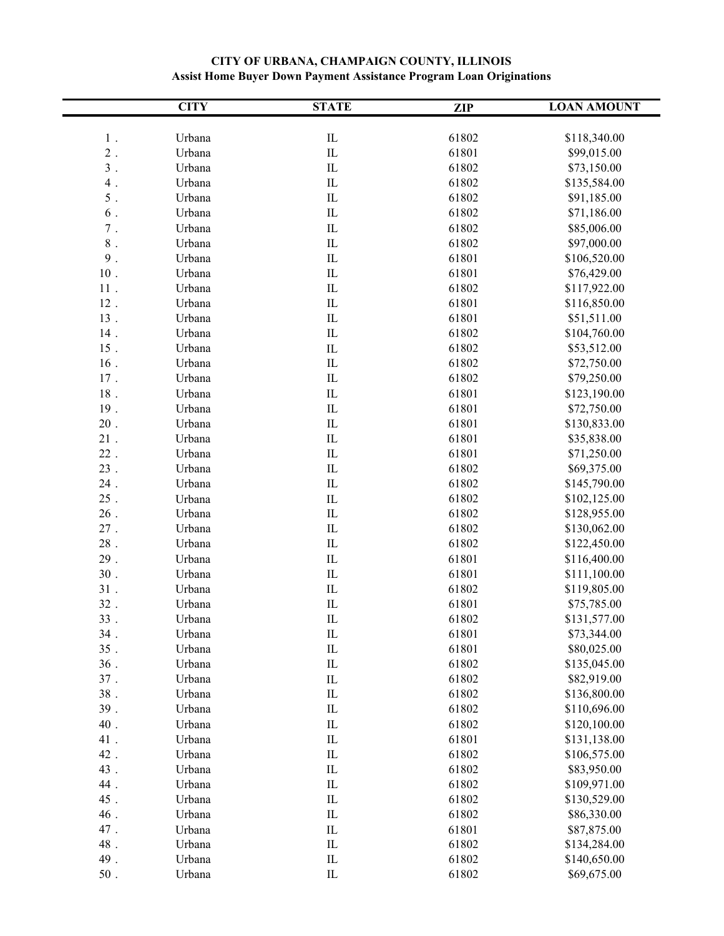|           | <b>CITY</b> | <b>STATE</b> | <b>ZIP</b> | <b>LOAN AMOUNT</b> |
|-----------|-------------|--------------|------------|--------------------|
|           |             |              |            |                    |
| $1$ .     | Urbana      | $\rm IL$     | 61802      | \$118,340.00       |
| $2$ .     | Urbana      | $\rm IL$     | 61801      | \$99,015.00        |
| $3$ .     | Urbana      | ${\rm IL}$   | 61802      | \$73,150.00        |
| $4$ .     | Urbana      | $\hbox{IL}$  | 61802      | \$135,584.00       |
| 5.        | Urbana      | ${\rm IL}$   | 61802      | \$91,185.00        |
| 6.        | Urbana      | IL           | 61802      | \$71,186.00        |
| $\,7\,$ . | Urbana      | ${\rm IL}$   | 61802      | \$85,006.00        |
| $8$ .     | Urbana      | ${\rm IL}$   | 61802      | \$97,000.00        |
| 9.        | Urbana      | ${\rm IL}$   | 61801      | \$106,520.00       |
| $10$ .    | Urbana      | $\rm IL$     | 61801      | \$76,429.00        |
| $11$ .    | Urbana      | ${\rm IL}$   | 61802      | \$117,922.00       |
| $12$ .    | Urbana      | ${\rm IL}$   | 61801      | \$116,850.00       |
| 13.       | Urbana      | $\rm IL$     | 61801      | \$51,511.00        |
| 14.       | Urbana      | ${\rm IL}$   | 61802      | \$104,760.00       |
| 15.       | Urbana      | ${\rm IL}$   | 61802      | \$53,512.00        |
| $16$ .    | Urbana      | ${\rm IL}$   | 61802      | \$72,750.00        |
| 17.       | Urbana      | ${\rm IL}$   | 61802      | \$79,250.00        |
| $18$ .    | Urbana      | ${\rm IL}$   | 61801      | \$123,190.00       |
| 19.       | Urbana      | IL           | 61801      | \$72,750.00        |
| $20$ .    | Urbana      | ${\rm IL}$   | 61801      | \$130,833.00       |
| $21$ .    | Urbana      | ${\rm IL}$   | 61801      | \$35,838.00        |
| $22$ .    | Urbana      | ${\rm IL}$   | 61801      | \$71,250.00        |
| 23.       | Urbana      | ${\rm IL}$   | 61802      | \$69,375.00        |
| $24$ .    | Urbana      | ${\rm IL}$   | 61802      | \$145,790.00       |
| $25$ .    | Urbana      | ${\rm IL}$   | 61802      | \$102,125.00       |
| $26$ .    | Urbana      | ${\rm IL}$   | 61802      | \$128,955.00       |
| $27$ .    | Urbana      | ${\rm IL}$   | 61802      | \$130,062.00       |
| $28$ .    | Urbana      | ${\rm IL}$   | 61802      | \$122,450.00       |
| 29.       | Urbana      | ${\rm IL}$   | 61801      | \$116,400.00       |
| 30.       | Urbana      | ${\rm IL}$   | 61801      | \$111,100.00       |
| 31.       | Urbana      | ${\rm IL}$   | 61802      | \$119,805.00       |
| 32.       | Urbana      | ${\rm IL}$   | 61801      | \$75,785.00        |
| 33        | Urbana      | ${\rm IL}$   | 61802      | \$131,577.00       |
| 34.       | Urbana      | $_{\rm IL}$  | 61801      | \$73,344.00        |
| 35.       | Urbana      | ${\rm IL}$   | 61801      | \$80,025.00        |
| $36$ .    | Urbana      | $\rm IL$     | 61802      | \$135,045.00       |
| $37$ .    | Urbana      | $\rm IL$     | 61802      | \$82,919.00        |
| $38$ .    | Urbana      | $\hbox{IL}$  | 61802      | \$136,800.00       |
| 39.       | Urbana      | ${\rm IL}$   | 61802      | \$110,696.00       |
| $40$ .    | Urbana      | $\hbox{IL}$  | 61802      | \$120,100.00       |
| 41.       | Urbana      | $\rm IL$     | 61801      | \$131,138.00       |
| 42.       | Urbana      | $\rm IL$     | 61802      | \$106,575.00       |
| 43.       | Urbana      | ${\rm IL}$   | 61802      | \$83,950.00        |
| 44.       | Urbana      | $\rm IL$     | 61802      | \$109,971.00       |
| 45.       | Urbana      | $\hbox{IL}$  | 61802      | \$130,529.00       |
| 46.       | Urbana      | $\hbox{IL}$  | 61802      | \$86,330.00        |
| 47.       | Urbana      | $\hbox{IL}$  | 61801      | \$87,875.00        |
| 48.       | Urbana      | $\rm IL$     | 61802      | \$134,284.00       |
| 49.       | Urbana      | $\rm IL$     | 61802      | \$140,650.00       |
| $50$ .    | Urbana      | ${\rm IL}$   | 61802      | \$69,675.00        |

### **CITY OF URBANA, CHAMPAIGN COUNTY, ILLINOIS Assist Home Buyer Down Payment Assistance Program Loan Originations**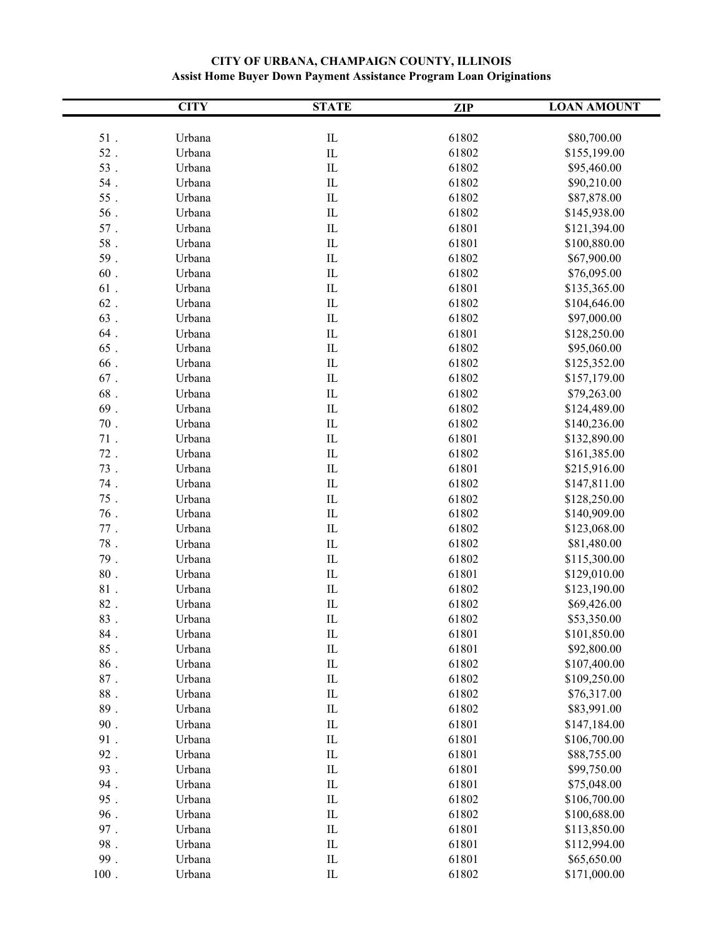|         | <b>CITY</b>      | <b>STATE</b>  | <b>ZIP</b> | <b>LOAN AMOUNT</b>         |
|---------|------------------|---------------|------------|----------------------------|
|         |                  |               |            |                            |
| $51$ .  | Urbana           | $\rm IL$      | 61802      | \$80,700.00                |
| $52$ .  | Urbana           | ${\rm IL}$    | 61802      | \$155,199.00               |
| $53$ .  | Urbana           | $\rm IL$      | 61802      | \$95,460.00                |
| $54$ .  | Urbana           | ${\rm IL}$    | 61802      | \$90,210.00                |
| $55$ .  | Urbana           | ${\rm IL}$    | 61802      | \$87,878.00                |
| $56$ .  | Urbana           | IL            | 61802      | \$145,938.00               |
| $57$ .  | Urbana           | ${\rm IL}$    | 61801      | \$121,394.00               |
| $58$ .  | Urbana           | IL            | 61801      | \$100,880.00               |
| 59.     | Urbana           | ${\rm IL}$    | 61802      | \$67,900.00                |
| $60$ .  | Urbana           | $\hbox{IL}$   | 61802      | \$76,095.00                |
| $61$ .  | Urbana           | ${\rm IL}$    | 61801      | \$135,365.00               |
| $62$ .  | Urbana           | ${\rm IL}$    | 61802      | \$104,646.00               |
| $63$ .  | Urbana           | ${\rm IL}$    | 61802      | \$97,000.00                |
| $64$ .  | Urbana           | IL            | 61801      | \$128,250.00               |
| 65.     | Urbana           | $\hbox{IL}$   | 61802      | \$95,060.00                |
| $66$ .  | Urbana           | ${\rm IL}$    | 61802      | \$125,352.00               |
| $67$ .  | Urbana           | ${\rm IL}$    | 61802      | \$157,179.00               |
| $68$ .  | Urbana           | ${\rm IL}$    | 61802      | \$79,263.00                |
| $69$ .  | Urbana           | IL            | 61802      | \$124,489.00               |
| $70$ .  | Urbana           | ${\rm IL}$    | 61802      | \$140,236.00               |
| $71$ .  | Urbana           | ${\rm IL}$    | 61801      | \$132,890.00               |
| $72$ .  | Urbana           | ${\rm IL}$    | 61802      | \$161,385.00               |
| 73.     | Urbana           | ${\rm IL}$    | 61801      | \$215,916.00               |
| $74$ .  | Urbana           | ${\rm IL}$    | 61802      | \$147,811.00               |
| $75$ .  | Urbana           | ${\rm IL}$    | 61802      | \$128,250.00               |
| $76$ .  | Urbana           | ${\rm IL}$    | 61802      | \$140,909.00               |
| $77$ .  | Urbana           | ${\rm IL}$    | 61802      | \$123,068.00               |
| $78$ .  | Urbana           | ${\rm IL}$    | 61802      | \$81,480.00                |
| $79$ .  | Urbana           | ${\rm IL}$    | 61802      | \$115,300.00               |
| $80$ .  | Urbana           | ${\rm IL}$    | 61801      | \$129,010.00               |
| $81$ .  | Urbana           | ${\rm IL}$    | 61802      | \$123,190.00               |
| $82$ .  | Urbana           | ${\rm IL}$    | 61802      | \$69,426.00                |
| 83      | Urbana           | IL            | 61802      | \$53,350.00                |
| $84$ .  | Urbana           | $_{\rm IL}$   | 61801      | \$101,850.00               |
| $85$ .  | Urbana           | ${\rm IL}$    | 61801      | \$92,800.00                |
| $86$ .  |                  | $\hbox{IL}$   | 61802      | \$107,400.00               |
| $87$ .  | Urbana<br>Urbana | $\hbox{IL}$   | 61802      | \$109,250.00               |
| $88$ .  | Urbana           | $\hbox{IL}$   | 61802      |                            |
|         |                  |               |            | \$76,317.00<br>\$83,991.00 |
| $89$ .  | Urbana           | $\rm IL$      | 61802      |                            |
| $90$ .  | Urbana           | $\hbox{I\!L}$ | 61801      | \$147,184.00               |
| 91.     | Urbana           | $\rm IL$      | 61801      | \$106,700.00               |
| 92.     | Urbana           | $\rm IL$      | 61801      | \$88,755.00                |
| 93.     | Urbana           | $\rm IL$      | 61801      | \$99,750.00                |
| 94.     | Urbana           | $\rm IL$      | 61801      | \$75,048.00                |
| 95.     | Urbana           | $\rm IL$      | 61802      | \$106,700.00               |
| $96$ .  | Urbana           | $\rm IL$      | 61802      | \$100,688.00               |
| 97.     | Urbana           | $\rm IL$      | 61801      | \$113,850.00               |
| 98.     | Urbana           | $\hbox{IL}$   | 61801      | \$112,994.00               |
| 99.     | Urbana           | $\hbox{IL}$   | 61801      | \$65,650.00                |
| $100$ . | Urbana           | $\rm IL$      | 61802      | \$171,000.00               |

### **CITY OF URBANA, CHAMPAIGN COUNTY, ILLINOIS Assist Home Buyer Down Payment Assistance Program Loan Originations**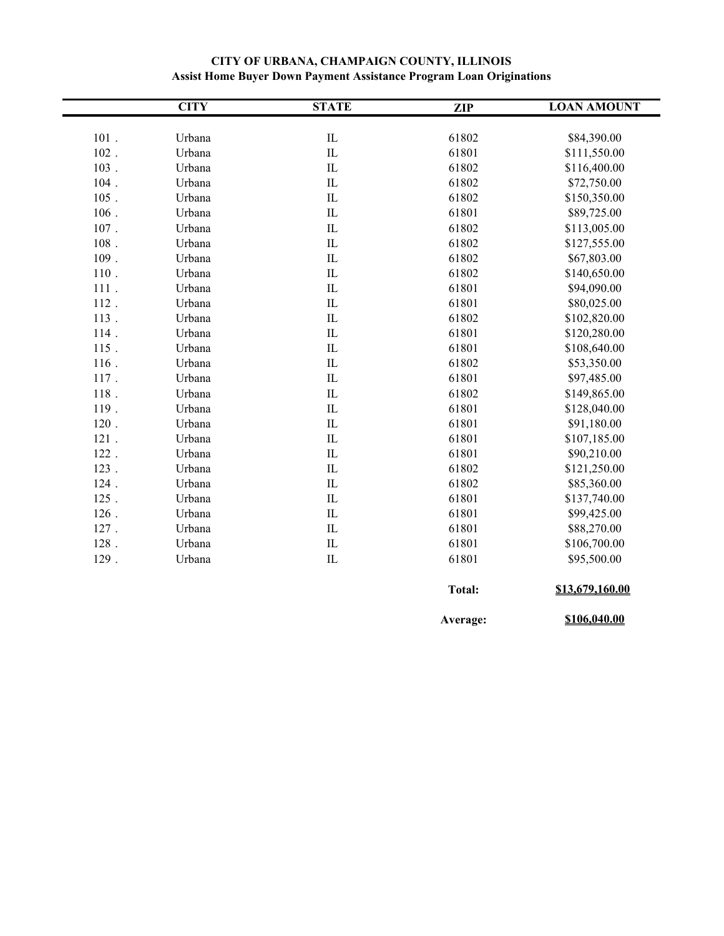|         | <b>CITY</b> | <b>STATE</b>             | <b>ZIP</b>    | <b>LOAN AMOUNT</b> |
|---------|-------------|--------------------------|---------------|--------------------|
|         |             |                          |               |                    |
| $101$ . | Urbana      | ${\rm IL}$               | 61802         | \$84,390.00        |
| 102.    | Urbana      | IL                       | 61801         | \$111,550.00       |
| $103$ . | Urbana      | ${\rm IL}$               | 61802         | \$116,400.00       |
| $104$ . | Urbana      | $\hbox{I\hskip-.15em L}$ | 61802         | \$72,750.00        |
| $105$ . | Urbana      | ${\rm IL}$               | 61802         | \$150,350.00       |
| $106$ . | Urbana      | $\hbox{I\hskip-.15em L}$ | 61801         | \$89,725.00        |
| $107$ . | Urbana      | $\rm IL$                 | 61802         | \$113,005.00       |
| $108$ . | Urbana      | IL                       | 61802         | \$127,555.00       |
| 109.    | Urbana      | IL                       | 61802         | \$67,803.00        |
| $110$ . | Urbana      | $\hbox{I\hskip-.15em L}$ | 61802         | \$140,650.00       |
| 111.    | Urbana      | $\hbox{I\hskip-.15em L}$ | 61801         | \$94,090.00        |
| 112.    | Urbana      | IL                       | 61801         | \$80,025.00        |
| 113.    | Urbana      | $\hbox{IL}$              | 61802         | \$102,820.00       |
| 114.    | Urbana      | ${\rm IL}$               | 61801         | \$120,280.00       |
| 115.    | Urbana      | IL                       | 61801         | \$108,640.00       |
| 116.    | Urbana      | $\hbox{I\hskip-.15em L}$ | 61802         | \$53,350.00        |
| 117.    | Urbana      | $\hbox{I\hskip-.15em L}$ | 61801         | \$97,485.00        |
| 118.    | Urbana      | $\hbox{I\hskip-.15em L}$ | 61802         | \$149,865.00       |
| 119.    | Urbana      | IL                       | 61801         | \$128,040.00       |
| 120.    | Urbana      | $\hbox{I\hskip-.15em L}$ | 61801         | \$91,180.00        |
| $121$ . | Urbana      | IL                       | 61801         | \$107,185.00       |
| 122.    | Urbana      | $\rm IL$                 | 61801         | \$90,210.00        |
| 123.    | Urbana      | $\rm IL$                 | 61802         | \$121,250.00       |
| 124.    | Urbana      | IL                       | 61802         | \$85,360.00        |
| 125.    | Urbana      | $\hbox{I\hskip-.15em L}$ | 61801         | \$137,740.00       |
| $126$ . | Urbana      | IL                       | 61801         | \$99,425.00        |
| 127.    | Urbana      | IL                       | 61801         | \$88,270.00        |
| $128$ . | Urbana      | ${\rm IL}$               | 61801         | \$106,700.00       |
| 129.    | Urbana      | ${\rm IL}$               | 61801         | \$95,500.00        |
|         |             |                          | <b>Total:</b> | \$13,679,160.00    |

### **CITY OF URBANA, CHAMPAIGN COUNTY, ILLINOIS Assist Home Buyer Down Payment Assistance Program Loan Originations**

**Average: \$106,040.00**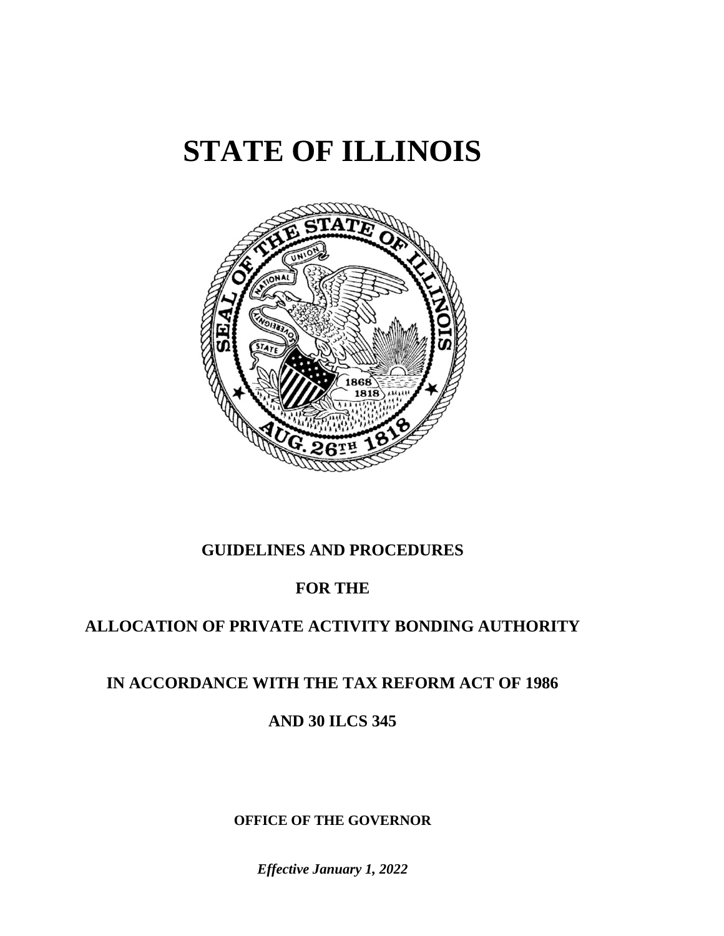# **STATE OF ILLINOIS**



# **GUIDELINES AND PROCEDURES**

# **FOR THE**

# **ALLOCATION OF PRIVATE ACTIVITY BONDING AUTHORITY**

# **IN ACCORDANCE WITH THE TAX REFORM ACT OF 1986**

# **AND 30 ILCS 345**

# **OFFICE OF THE GOVERNOR**

*Effective January 1, 2022*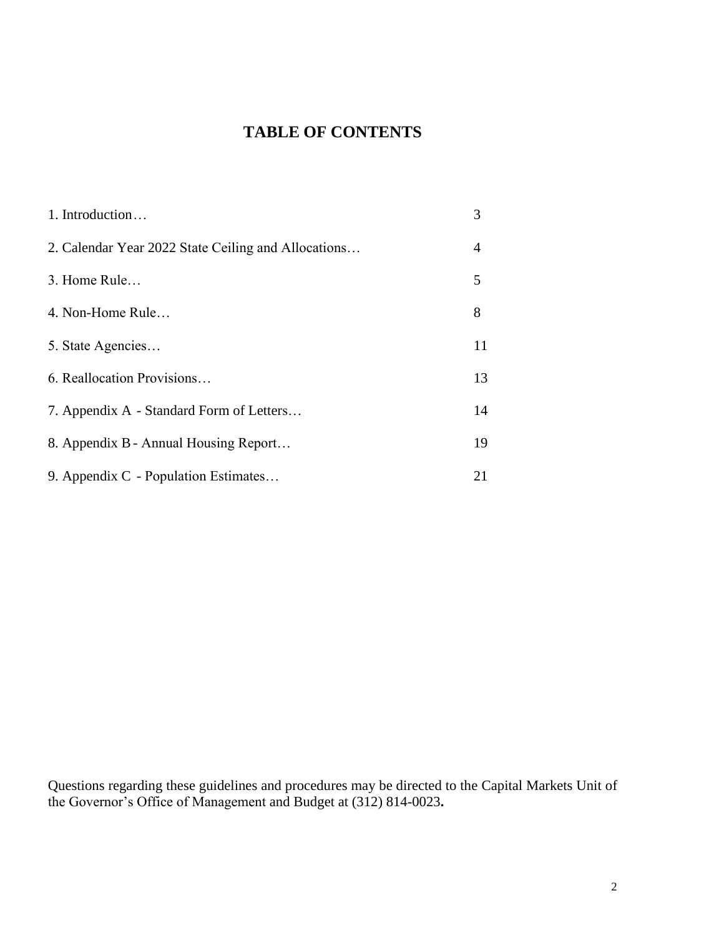# **TABLE OF CONTENTS**

| 1. Introduction                                     | 3  |
|-----------------------------------------------------|----|
| 2. Calendar Year 2022 State Ceiling and Allocations | 4  |
| 3. Home Rule                                        | 5  |
| 4. Non-Home Rule                                    | 8  |
| 5. State Agencies                                   | 11 |
| 6. Reallocation Provisions                          | 13 |
| 7. Appendix A - Standard Form of Letters            | 14 |
| 8. Appendix B - Annual Housing Report               | 19 |
| 9. Appendix C - Population Estimates                | 21 |

Questions regarding these guidelines and procedures may be directed to the Capital Markets Unit of the Governor's Office of Management and Budget at (312) 814-0023**.**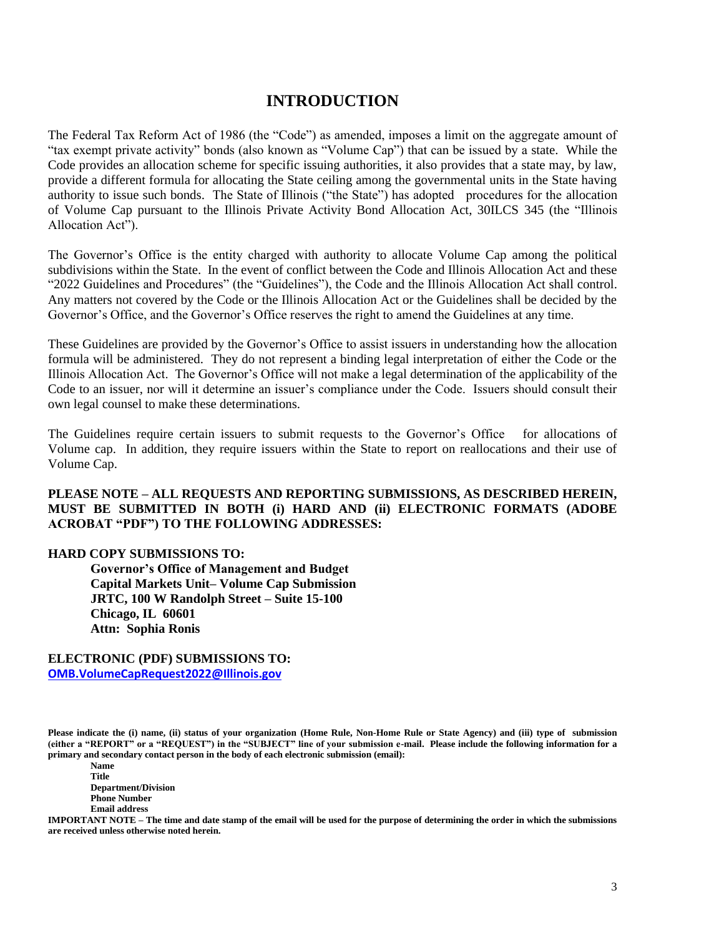# **INTRODUCTION**

The Federal Tax Reform Act of 1986 (the "Code") as amended, imposes a limit on the aggregate amount of "tax exempt private activity" bonds (also known as "Volume Cap") that can be issued by a state. While the Code provides an allocation scheme for specific issuing authorities, it also provides that a state may, by law, provide a different formula for allocating the State ceiling among the governmental units in the State having authority to issue such bonds. The State of Illinois ("the State") has adopted procedures for the allocation of Volume Cap pursuant to the Illinois Private Activity Bond Allocation Act, 30ILCS 345 (the "Illinois Allocation Act").

The Governor's Office is the entity charged with authority to allocate Volume Cap among the political subdivisions within the State. In the event of conflict between the Code and Illinois Allocation Act and these "2022 Guidelines and Procedures" (the "Guidelines"), the Code and the Illinois Allocation Act shall control. Any matters not covered by the Code or the Illinois Allocation Act or the Guidelines shall be decided by the Governor's Office, and the Governor's Office reserves the right to amend the Guidelines at any time.

These Guidelines are provided by the Governor's Office to assist issuers in understanding how the allocation formula will be administered. They do not represent a binding legal interpretation of either the Code or the Illinois Allocation Act. The Governor's Office will not make a legal determination of the applicability of the Code to an issuer, nor will it determine an issuer's compliance under the Code. Issuers should consult their own legal counsel to make these determinations.

The Guidelines require certain issuers to submit requests to the Governor's Office for allocations of Volume cap. In addition, they require issuers within the State to report on reallocations and their use of Volume Cap.

#### **PLEASE NOTE – ALL REQUESTS AND REPORTING SUBMISSIONS, AS DESCRIBED HEREIN, MUST BE SUBMITTED IN BOTH (i) HARD AND (ii) ELECTRONIC FORMATS (ADOBE ACROBAT "PDF") TO THE FOLLOWING ADDRESSES:**

#### **HARD COPY SUBMISSIONS TO:**

**Governor's Office of Management and Budget Capital Markets Unit– Volume Cap Submission JRTC, 100 W Randolph Street – Suite 15-100 Chicago, IL 60601 Attn: Sophia Ronis**

**ELECTRONIC (PDF) SUBMISSIONS TO: [OMB.VolumeCapRequest2022@Illinois.gov](mailto:OMB.VolumeCapRequest2021@Illinois.gov)**

**Please indicate the (i) name, (ii) status of your organization (Home Rule, Non-Home Rule or State Agency) and (iii) type of submission (either a "REPORT" or a "REQUEST") in the "SUBJECT" line of your submission e-mail. Please include the following information for a primary and secondary contact person in the body of each electronic submission (email):**

**Name Title Department/Division Phone Number Email address**

**IMPORTANT NOTE – The time and date stamp of the email will be used for the purpose of determining the order in which the submissions are received unless otherwise noted herein.**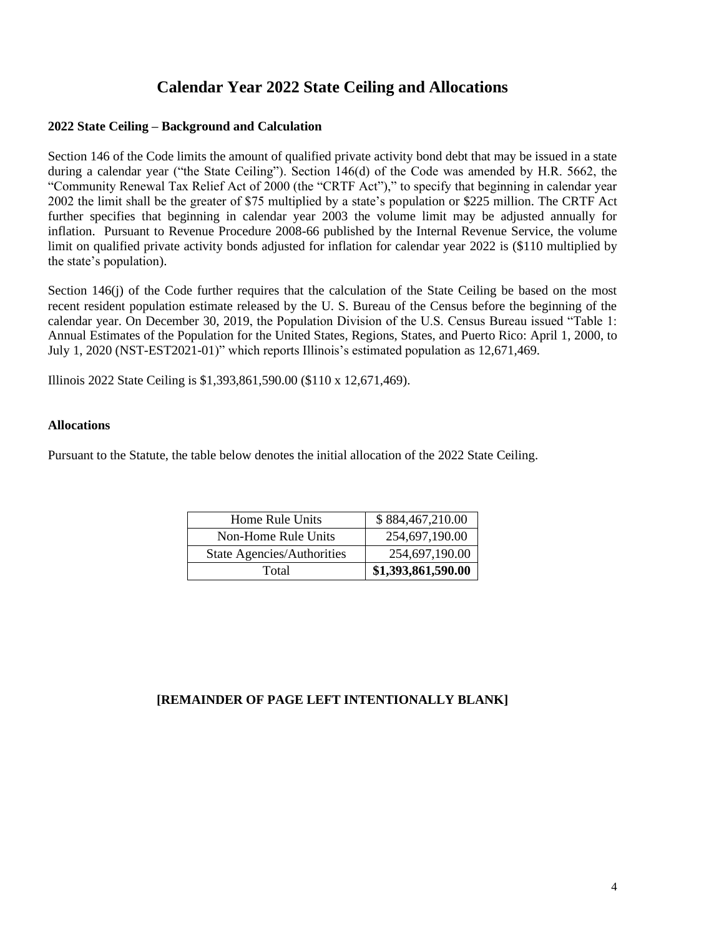# **Calendar Year 2022 State Ceiling and Allocations**

#### **2022 State Ceiling – Background and Calculation**

Section 146 of the Code limits the amount of qualified private activity bond debt that may be issued in a state during a calendar year ("the State Ceiling"). Section 146(d) of the Code was amended by H.R. 5662, the "Community Renewal Tax Relief Act of 2000 (the "CRTF Act")," to specify that beginning in calendar year 2002 the limit shall be the greater of \$75 multiplied by a state's population or \$225 million. The CRTF Act further specifies that beginning in calendar year 2003 the volume limit may be adjusted annually for inflation. Pursuant to Revenue Procedure 2008-66 published by the Internal Revenue Service, the volume limit on qualified private activity bonds adjusted for inflation for calendar year 2022 is (\$110 multiplied by the state's population).

Section 146(j) of the Code further requires that the calculation of the State Ceiling be based on the most recent resident population estimate released by the U. S. Bureau of the Census before the beginning of the calendar year. On December 30, 2019, the Population Division of the U.S. Census Bureau issued "Table 1: Annual Estimates of the Population for the United States, Regions, States, and Puerto Rico: April 1, 2000, to July 1, 2020 (NST-EST2021-01)" which reports Illinois's estimated population as 12,671,469.

Illinois 2022 State Ceiling is \$1,393,861,590.00 (\$110 x 12,671,469).

#### **Allocations**

Pursuant to the Statute, the table below denotes the initial allocation of the 2022 State Ceiling.

| Home Rule Units            | \$884,467,210.00   |
|----------------------------|--------------------|
| Non-Home Rule Units        | 254,697,190.00     |
| State Agencies/Authorities | 254,697,190.00     |
| Total                      | \$1,393,861,590.00 |

### **[REMAINDER OF PAGE LEFT INTENTIONALLY BLANK]**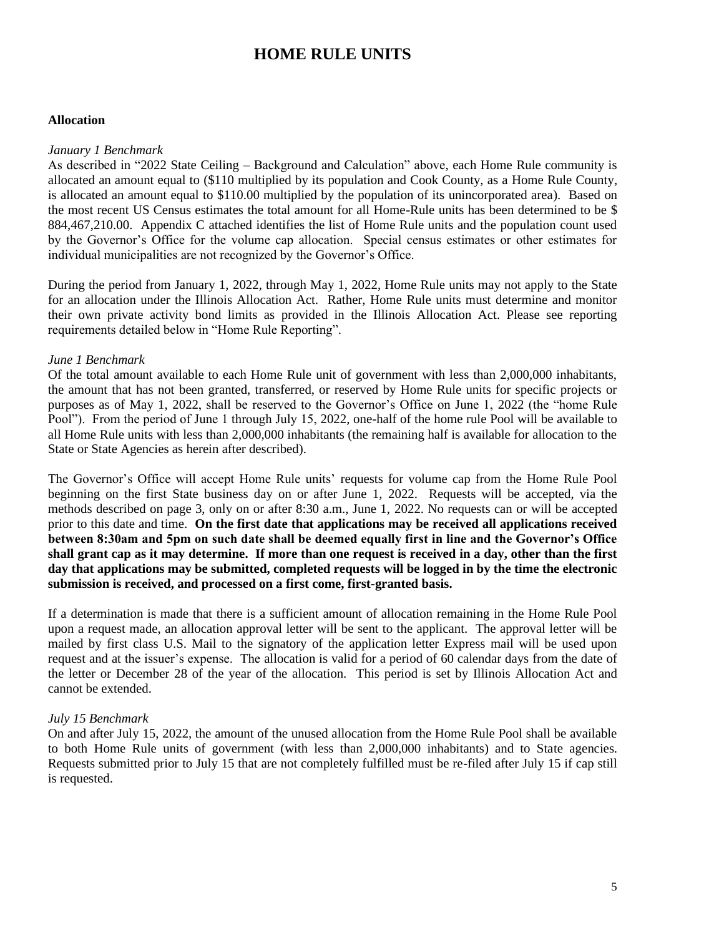# **HOME RULE UNITS**

#### **Allocation**

#### *January 1 Benchmark*

As described in "2022 State Ceiling – Background and Calculation" above, each Home Rule community is allocated an amount equal to (\$110 multiplied by its population and Cook County, as a Home Rule County, is allocated an amount equal to \$110.00 multiplied by the population of its unincorporated area). Based on the most recent US Census estimates the total amount for all Home-Rule units has been determined to be \$ 884,467,210.00. Appendix C attached identifies the list of Home Rule units and the population count used by the Governor's Office for the volume cap allocation. Special census estimates or other estimates for individual municipalities are not recognized by the Governor's Office.

During the period from January 1, 2022, through May 1, 2022, Home Rule units may not apply to the State for an allocation under the Illinois Allocation Act. Rather, Home Rule units must determine and monitor their own private activity bond limits as provided in the Illinois Allocation Act. Please see reporting requirements detailed below in "Home Rule Reporting".

#### *June 1 Benchmark*

Of the total amount available to each Home Rule unit of government with less than 2,000,000 inhabitants, the amount that has not been granted, transferred, or reserved by Home Rule units for specific projects or purposes as of May 1, 2022, shall be reserved to the Governor's Office on June 1, 2022 (the "home Rule Pool"). From the period of June 1 through July 15, 2022, one-half of the home rule Pool will be available to all Home Rule units with less than 2,000,000 inhabitants (the remaining half is available for allocation to the State or State Agencies as herein after described).

The Governor's Office will accept Home Rule units' requests for volume cap from the Home Rule Pool beginning on the first State business day on or after June 1, 2022. Requests will be accepted, via the methods described on page 3, only on or after 8:30 a.m., June 1, 2022. No requests can or will be accepted prior to this date and time. **On the first date that applications may be received all applications received between 8:30am and 5pm on such date shall be deemed equally first in line and the Governor's Office shall grant cap as it may determine. If more than one request is received in a day, other than the first day that applications may be submitted, completed requests will be logged in by the time the electronic submission is received, and processed on a first come, first-granted basis.** 

If a determination is made that there is a sufficient amount of allocation remaining in the Home Rule Pool upon a request made, an allocation approval letter will be sent to the applicant. The approval letter will be mailed by first class U.S. Mail to the signatory of the application letter Express mail will be used upon request and at the issuer's expense. The allocation is valid for a period of 60 calendar days from the date of the letter or December 28 of the year of the allocation. This period is set by Illinois Allocation Act and cannot be extended.

#### *July 15 Benchmark*

On and after July 15, 2022, the amount of the unused allocation from the Home Rule Pool shall be available to both Home Rule units of government (with less than 2,000,000 inhabitants) and to State agencies. Requests submitted prior to July 15 that are not completely fulfilled must be re-filed after July 15 if cap still is requested.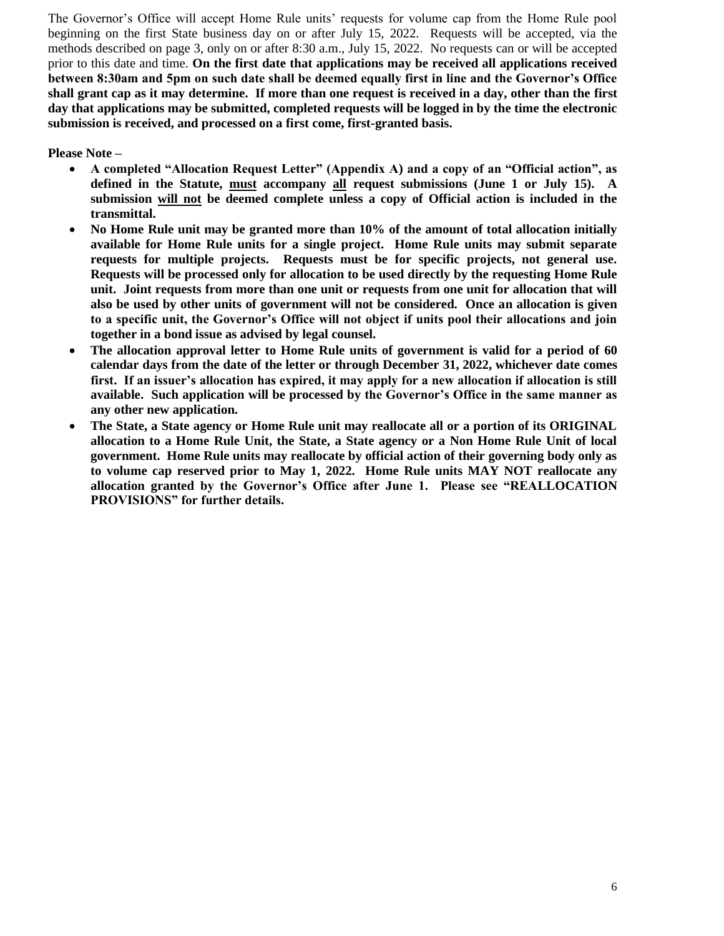The Governor's Office will accept Home Rule units' requests for volume cap from the Home Rule pool beginning on the first State business day on or after July 15, 2022. Requests will be accepted, via the methods described on page 3, only on or after 8:30 a.m., July 15, 2022. No requests can or will be accepted prior to this date and time. **On the first date that applications may be received all applications received between 8:30am and 5pm on such date shall be deemed equally first in line and the Governor's Office shall grant cap as it may determine. If more than one request is received in a day, other than the first day that applications may be submitted, completed requests will be logged in by the time the electronic submission is received, and processed on a first come, first-granted basis.** 

**Please Note –**

- **A completed "Allocation Request Letter" (Appendix A) and a copy of an "Official action", as defined in the Statute, must accompany all request submissions (June 1 or July 15). A submission will not be deemed complete unless a copy of Official action is included in the transmittal.**
- **No Home Rule unit may be granted more than 10% of the amount of total allocation initially available for Home Rule units for a single project. Home Rule units may submit separate requests for multiple projects. Requests must be for specific projects, not general use. Requests will be processed only for allocation to be used directly by the requesting Home Rule unit. Joint requests from more than one unit or requests from one unit for allocation that will also be used by other units of government will not be considered. Once an allocation is given to a specific unit, the Governor's Office will not object if units pool their allocations and join together in a bond issue as advised by legal counsel.**
- **The allocation approval letter to Home Rule units of government is valid for a period of 60 calendar days from the date of the letter or through December 31, 2022, whichever date comes first. If an issuer's allocation has expired, it may apply for a new allocation if allocation is still available. Such application will be processed by the Governor's Office in the same manner as any other new application.**
- **The State, a State agency or Home Rule unit may reallocate all or a portion of its ORIGINAL allocation to a Home Rule Unit, the State, a State agency or a Non Home Rule Unit of local government. Home Rule units may reallocate by official action of their governing body only as to volume cap reserved prior to May 1, 2022. Home Rule units MAY NOT reallocate any allocation granted by the Governor's Office after June 1. Please see "REALLOCATION PROVISIONS" for further details.**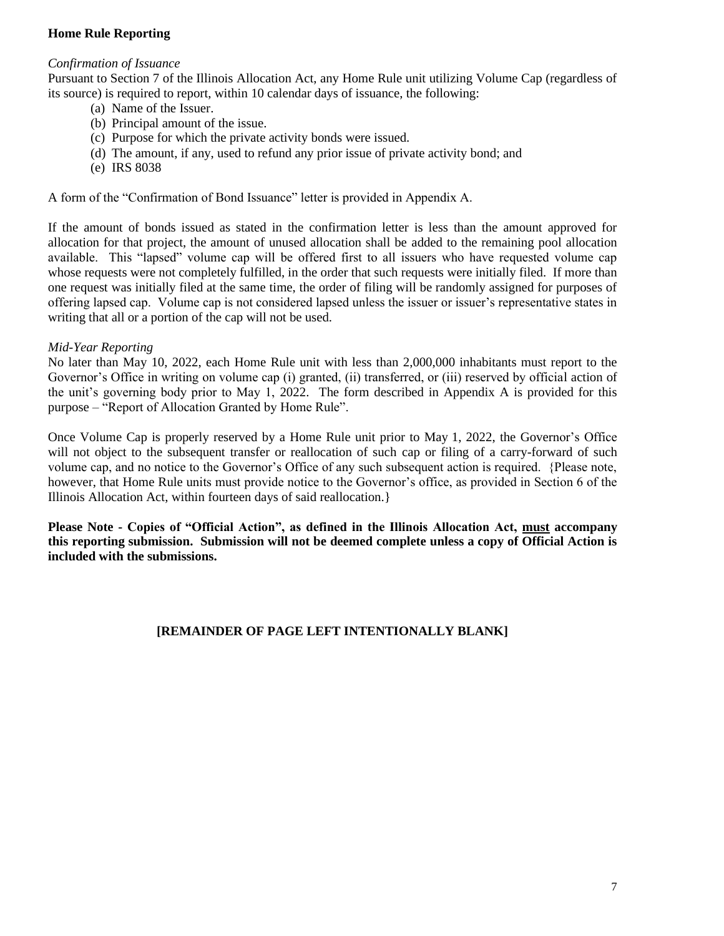### **Home Rule Reporting**

#### *Confirmation of Issuance*

Pursuant to Section 7 of the Illinois Allocation Act, any Home Rule unit utilizing Volume Cap (regardless of its source) is required to report, within 10 calendar days of issuance, the following:

- (a) Name of the Issuer.
- (b) Principal amount of the issue.
- (c) Purpose for which the private activity bonds were issued.
- (d) The amount, if any, used to refund any prior issue of private activity bond; and
- (e) IRS 8038

A form of the "Confirmation of Bond Issuance" letter is provided in Appendix A.

If the amount of bonds issued as stated in the confirmation letter is less than the amount approved for allocation for that project, the amount of unused allocation shall be added to the remaining pool allocation available. This "lapsed" volume cap will be offered first to all issuers who have requested volume cap whose requests were not completely fulfilled, in the order that such requests were initially filed. If more than one request was initially filed at the same time, the order of filing will be randomly assigned for purposes of offering lapsed cap. Volume cap is not considered lapsed unless the issuer or issuer's representative states in writing that all or a portion of the cap will not be used.

#### *Mid-Year Reporting*

No later than May 10, 2022, each Home Rule unit with less than 2,000,000 inhabitants must report to the Governor's Office in writing on volume cap (i) granted, (ii) transferred, or (iii) reserved by official action of the unit's governing body prior to May 1, 2022. The form described in Appendix A is provided for this purpose – "Report of Allocation Granted by Home Rule".

Once Volume Cap is properly reserved by a Home Rule unit prior to May 1, 2022, the Governor's Office will not object to the subsequent transfer or reallocation of such cap or filing of a carry-forward of such volume cap, and no notice to the Governor's Office of any such subsequent action is required. {Please note, however, that Home Rule units must provide notice to the Governor's office, as provided in Section 6 of the Illinois Allocation Act, within fourteen days of said reallocation.}

**Please Note - Copies of "Official Action", as defined in the Illinois Allocation Act, must accompany this reporting submission. Submission will not be deemed complete unless a copy of Official Action is included with the submissions.** 

# **[REMAINDER OF PAGE LEFT INTENTIONALLY BLANK]**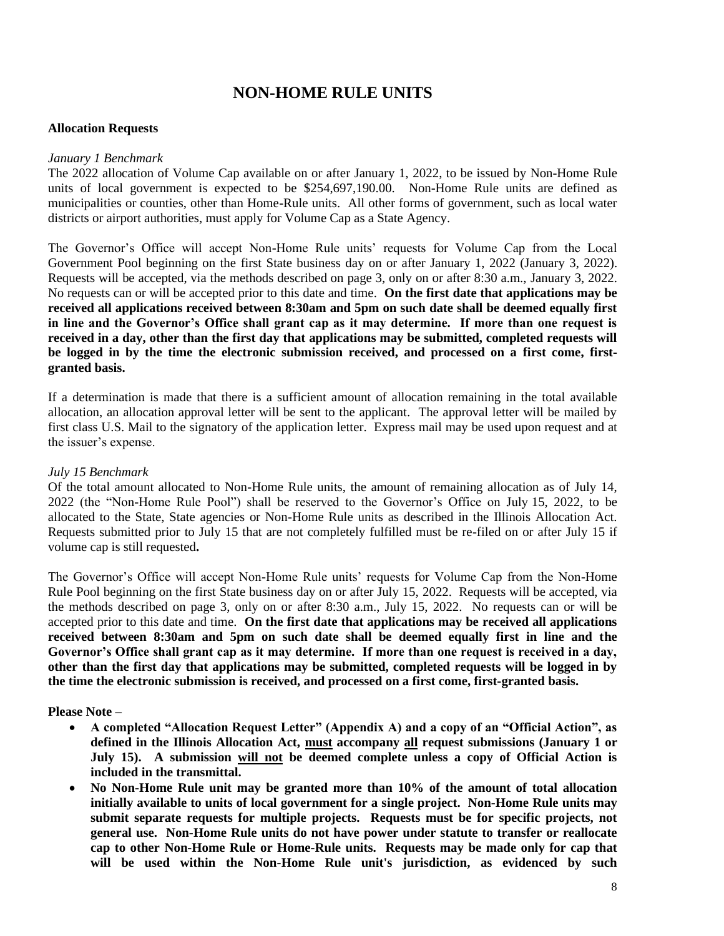# **NON-HOME RULE UNITS**

#### **Allocation Requests**

#### *January 1 Benchmark*

The 2022 allocation of Volume Cap available on or after January 1, 2022, to be issued by Non-Home Rule units of local government is expected to be \$254,697,190.00. Non-Home Rule units are defined as municipalities or counties, other than Home-Rule units. All other forms of government, such as local water districts or airport authorities, must apply for Volume Cap as a State Agency.

The Governor's Office will accept Non-Home Rule units' requests for Volume Cap from the Local Government Pool beginning on the first State business day on or after January 1, 2022 (January 3, 2022). Requests will be accepted, via the methods described on page 3, only on or after 8:30 a.m., January 3, 2022. No requests can or will be accepted prior to this date and time. **On the first date that applications may be received all applications received between 8:30am and 5pm on such date shall be deemed equally first in line and the Governor's Office shall grant cap as it may determine. If more than one request is received in a day, other than the first day that applications may be submitted, completed requests will be logged in by the time the electronic submission received, and processed on a first come, firstgranted basis.** 

If a determination is made that there is a sufficient amount of allocation remaining in the total available allocation, an allocation approval letter will be sent to the applicant. The approval letter will be mailed by first class U.S. Mail to the signatory of the application letter. Express mail may be used upon request and at the issuer's expense.

#### *July 15 Benchmark*

Of the total amount allocated to Non-Home Rule units, the amount of remaining allocation as of July 14, 2022 (the "Non-Home Rule Pool") shall be reserved to the Governor's Office on July 15, 2022, to be allocated to the State, State agencies or Non-Home Rule units as described in the Illinois Allocation Act. Requests submitted prior to July 15 that are not completely fulfilled must be re-filed on or after July 15 if volume cap is still requested**.**

The Governor's Office will accept Non-Home Rule units' requests for Volume Cap from the Non-Home Rule Pool beginning on the first State business day on or after July 15, 2022. Requests will be accepted, via the methods described on page 3, only on or after 8:30 a.m., July 15, 2022. No requests can or will be accepted prior to this date and time. **On the first date that applications may be received all applications received between 8:30am and 5pm on such date shall be deemed equally first in line and the Governor's Office shall grant cap as it may determine. If more than one request is received in a day, other than the first day that applications may be submitted, completed requests will be logged in by the time the electronic submission is received, and processed on a first come, first-granted basis.** 

#### **Please Note –**

- **A completed "Allocation Request Letter" (Appendix A) and a copy of an "Official Action", as defined in the Illinois Allocation Act, must accompany all request submissions (January 1 or July 15). A submission will not be deemed complete unless a copy of Official Action is included in the transmittal.**
- **No Non-Home Rule unit may be granted more than 10% of the amount of total allocation initially available to units of local government for a single project. Non-Home Rule units may submit separate requests for multiple projects. Requests must be for specific projects, not general use. Non-Home Rule units do not have power under statute to transfer or reallocate cap to other Non-Home Rule or Home-Rule units. Requests may be made only for cap that will be used within the Non-Home Rule unit's jurisdiction, as evidenced by such**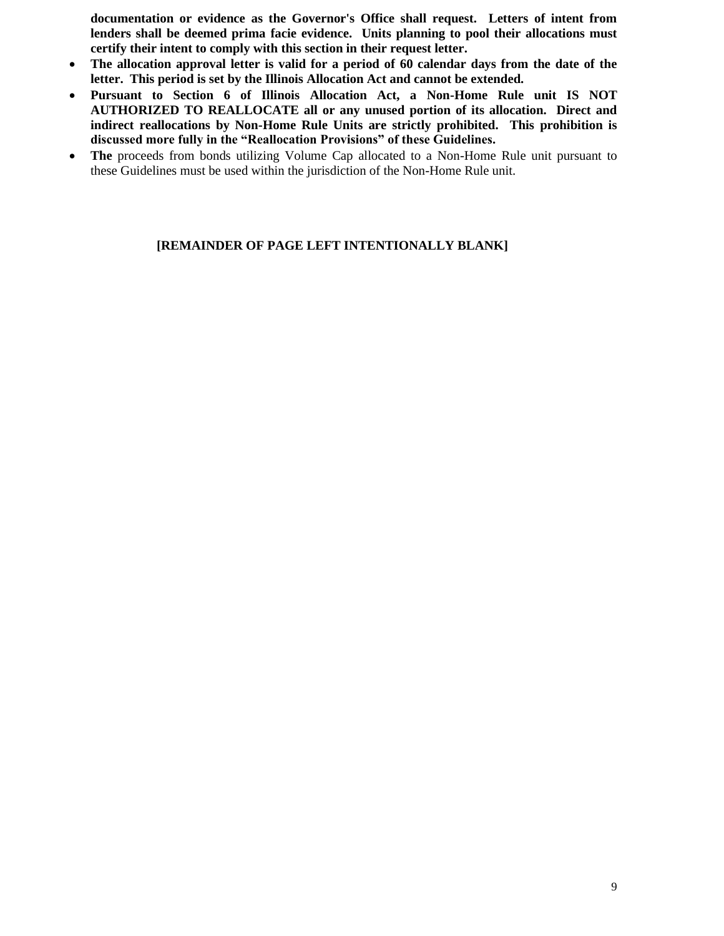**documentation or evidence as the Governor's Office shall request. Letters of intent from lenders shall be deemed prima facie evidence. Units planning to pool their allocations must certify their intent to comply with this section in their request letter.**

- **The allocation approval letter is valid for a period of 60 calendar days from the date of the letter. This period is set by the Illinois Allocation Act and cannot be extended.**
- **Pursuant to Section 6 of Illinois Allocation Act, a Non-Home Rule unit IS NOT AUTHORIZED TO REALLOCATE all or any unused portion of its allocation. Direct and indirect reallocations by Non-Home Rule Units are strictly prohibited. This prohibition is discussed more fully in the "Reallocation Provisions" of these Guidelines.**
- **The** proceeds from bonds utilizing Volume Cap allocated to a Non-Home Rule unit pursuant to these Guidelines must be used within the jurisdiction of the Non-Home Rule unit.

#### **[REMAINDER OF PAGE LEFT INTENTIONALLY BLANK]**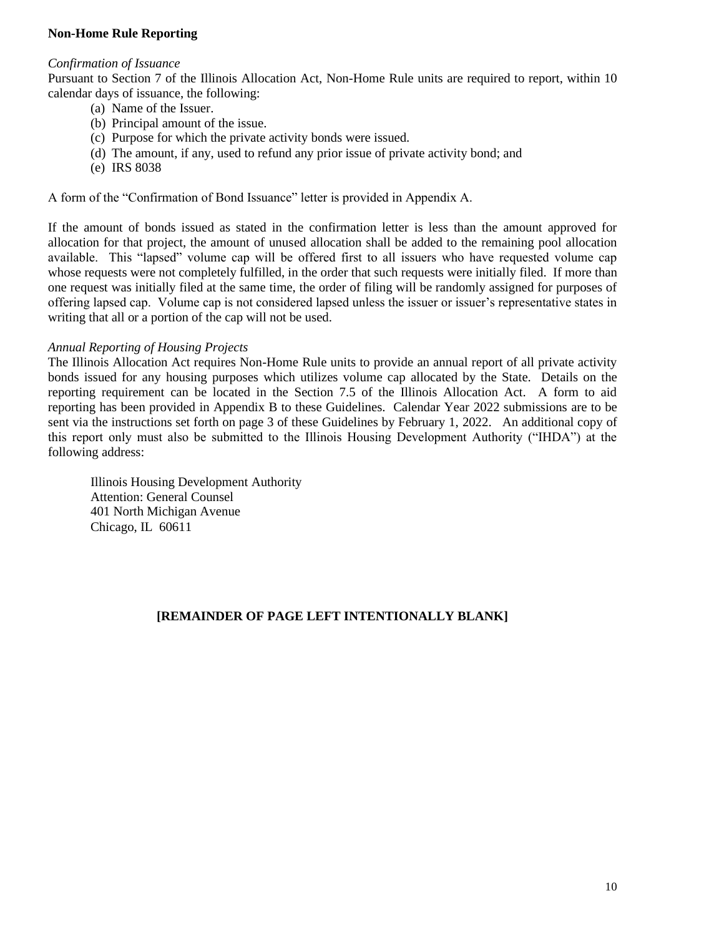#### **Non-Home Rule Reporting**

#### *Confirmation of Issuance*

Pursuant to Section 7 of the Illinois Allocation Act, Non-Home Rule units are required to report, within 10 calendar days of issuance, the following:

- (a) Name of the Issuer.
- (b) Principal amount of the issue.
- (c) Purpose for which the private activity bonds were issued.
- (d) The amount, if any, used to refund any prior issue of private activity bond; and
- (e) IRS 8038

A form of the "Confirmation of Bond Issuance" letter is provided in Appendix A.

If the amount of bonds issued as stated in the confirmation letter is less than the amount approved for allocation for that project, the amount of unused allocation shall be added to the remaining pool allocation available. This "lapsed" volume cap will be offered first to all issuers who have requested volume cap whose requests were not completely fulfilled, in the order that such requests were initially filed. If more than one request was initially filed at the same time, the order of filing will be randomly assigned for purposes of offering lapsed cap. Volume cap is not considered lapsed unless the issuer or issuer's representative states in writing that all or a portion of the cap will not be used.

#### *Annual Reporting of Housing Projects*

The Illinois Allocation Act requires Non-Home Rule units to provide an annual report of all private activity bonds issued for any housing purposes which utilizes volume cap allocated by the State. Details on the reporting requirement can be located in the Section 7.5 of the Illinois Allocation Act. A form to aid reporting has been provided in Appendix B to these Guidelines. Calendar Year 2022 submissions are to be sent via the instructions set forth on page 3 of these Guidelines by February 1, 2022. An additional copy of this report only must also be submitted to the Illinois Housing Development Authority ("IHDA") at the following address:

Illinois Housing Development Authority Attention: General Counsel 401 North Michigan Avenue Chicago, IL 60611

### **[REMAINDER OF PAGE LEFT INTENTIONALLY BLANK]**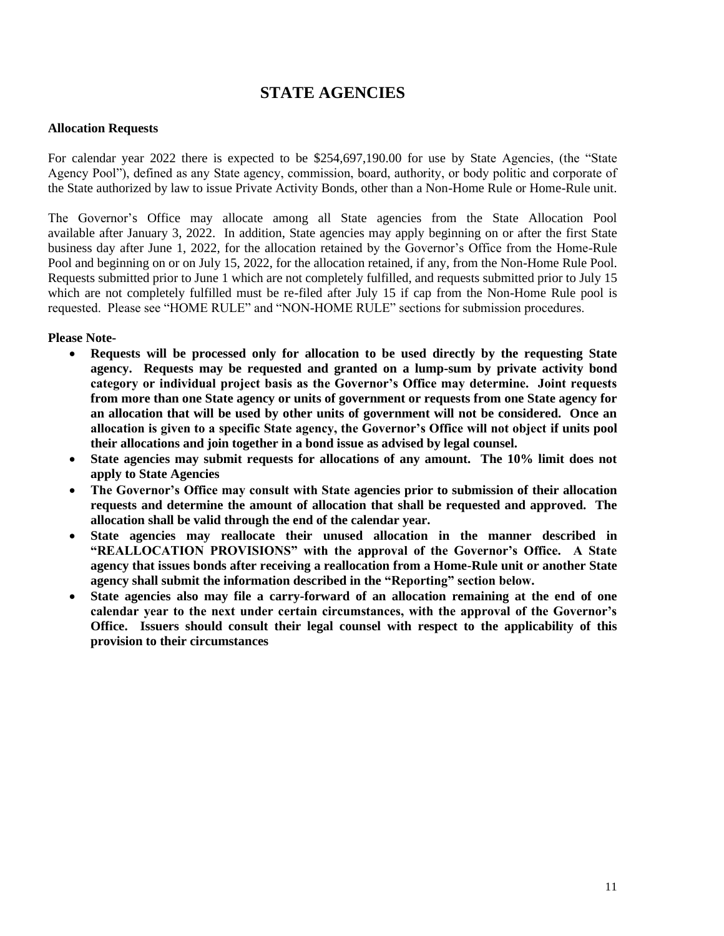# **STATE AGENCIES**

#### **Allocation Requests**

For calendar year 2022 there is expected to be \$254,697,190.00 for use by State Agencies, (the "State Agency Pool"), defined as any State agency, commission, board, authority, or body politic and corporate of the State authorized by law to issue Private Activity Bonds, other than a Non-Home Rule or Home-Rule unit.

The Governor's Office may allocate among all State agencies from the State Allocation Pool available after January 3, 2022. In addition, State agencies may apply beginning on or after the first State business day after June 1, 2022, for the allocation retained by the Governor's Office from the Home-Rule Pool and beginning on or on July 15, 2022, for the allocation retained, if any, from the Non-Home Rule Pool. Requests submitted prior to June 1 which are not completely fulfilled, and requests submitted prior to July 15 which are not completely fulfilled must be re-filed after July 15 if cap from the Non-Home Rule pool is requested. Please see "HOME RULE" and "NON-HOME RULE" sections for submission procedures.

#### **Please Note-**

- **Requests will be processed only for allocation to be used directly by the requesting State agency. Requests may be requested and granted on a lump-sum by private activity bond category or individual project basis as the Governor's Office may determine. Joint requests from more than one State agency or units of government or requests from one State agency for an allocation that will be used by other units of government will not be considered. Once an allocation is given to a specific State agency, the Governor's Office will not object if units pool their allocations and join together in a bond issue as advised by legal counsel.**
- **State agencies may submit requests for allocations of any amount. The 10% limit does not apply to State Agencies**
- **The Governor's Office may consult with State agencies prior to submission of their allocation requests and determine the amount of allocation that shall be requested and approved. The allocation shall be valid through the end of the calendar year.**
- **State agencies may reallocate their unused allocation in the manner described in "REALLOCATION PROVISIONS" with the approval of the Governor's Office. A State agency that issues bonds after receiving a reallocation from a Home-Rule unit or another State agency shall submit the information described in the "Reporting" section below.**
- **State agencies also may file a carry-forward of an allocation remaining at the end of one calendar year to the next under certain circumstances, with the approval of the Governor's Office. Issuers should consult their legal counsel with respect to the applicability of this provision to their circumstances**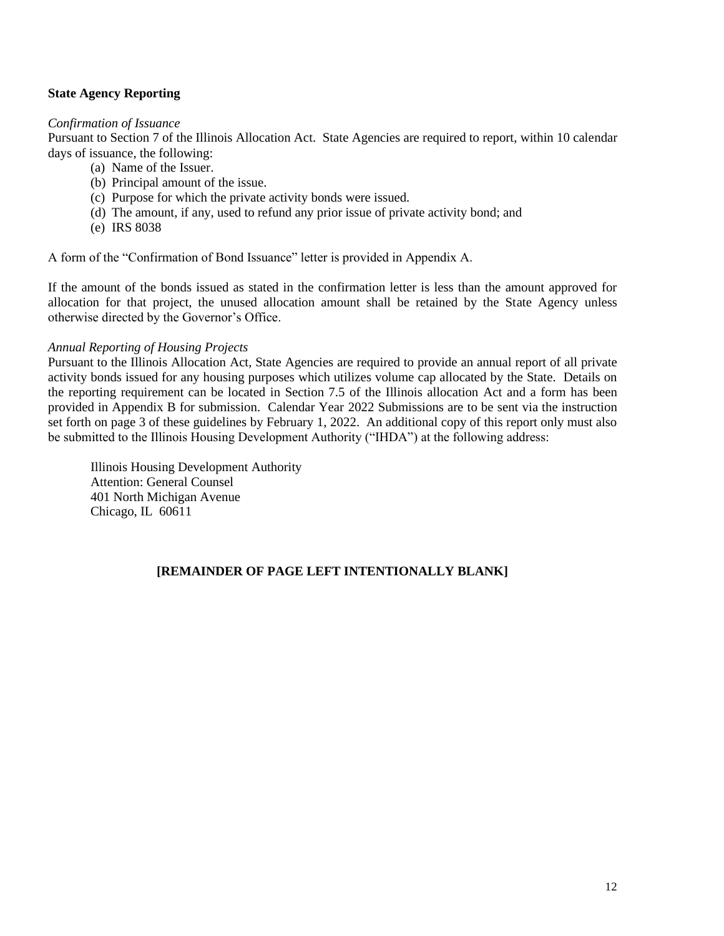#### **State Agency Reporting**

#### *Confirmation of Issuance*

Pursuant to Section 7 of the Illinois Allocation Act. State Agencies are required to report, within 10 calendar days of issuance, the following:

- (a) Name of the Issuer.
- (b) Principal amount of the issue.
- (c) Purpose for which the private activity bonds were issued.
- (d) The amount, if any, used to refund any prior issue of private activity bond; and
- (e) IRS 8038

A form of the "Confirmation of Bond Issuance" letter is provided in Appendix A.

If the amount of the bonds issued as stated in the confirmation letter is less than the amount approved for allocation for that project, the unused allocation amount shall be retained by the State Agency unless otherwise directed by the Governor's Office.

#### *Annual Reporting of Housing Projects*

Pursuant to the Illinois Allocation Act, State Agencies are required to provide an annual report of all private activity bonds issued for any housing purposes which utilizes volume cap allocated by the State. Details on the reporting requirement can be located in Section 7.5 of the Illinois allocation Act and a form has been provided in Appendix B for submission. Calendar Year 2022 Submissions are to be sent via the instruction set forth on page 3 of these guidelines by February 1, 2022. An additional copy of this report only must also be submitted to the Illinois Housing Development Authority ("IHDA") at the following address:

Illinois Housing Development Authority Attention: General Counsel 401 North Michigan Avenue Chicago, IL 60611

### **[REMAINDER OF PAGE LEFT INTENTIONALLY BLANK]**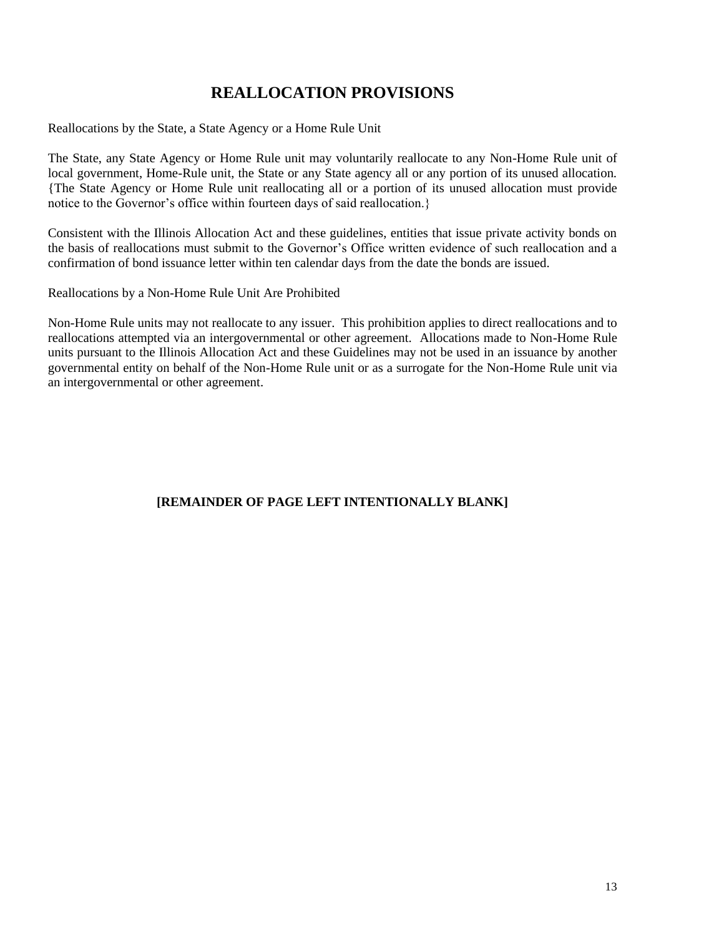# **REALLOCATION PROVISIONS**

Reallocations by the State, a State Agency or a Home Rule Unit

The State, any State Agency or Home Rule unit may voluntarily reallocate to any Non-Home Rule unit of local government, Home-Rule unit, the State or any State agency all or any portion of its unused allocation. {The State Agency or Home Rule unit reallocating all or a portion of its unused allocation must provide notice to the Governor's office within fourteen days of said reallocation.}

Consistent with the Illinois Allocation Act and these guidelines, entities that issue private activity bonds on the basis of reallocations must submit to the Governor's Office written evidence of such reallocation and a confirmation of bond issuance letter within ten calendar days from the date the bonds are issued.

Reallocations by a Non-Home Rule Unit Are Prohibited

Non-Home Rule units may not reallocate to any issuer. This prohibition applies to direct reallocations and to reallocations attempted via an intergovernmental or other agreement. Allocations made to Non-Home Rule units pursuant to the Illinois Allocation Act and these Guidelines may not be used in an issuance by another governmental entity on behalf of the Non-Home Rule unit or as a surrogate for the Non-Home Rule unit via an intergovernmental or other agreement.

### **[REMAINDER OF PAGE LEFT INTENTIONALLY BLANK]**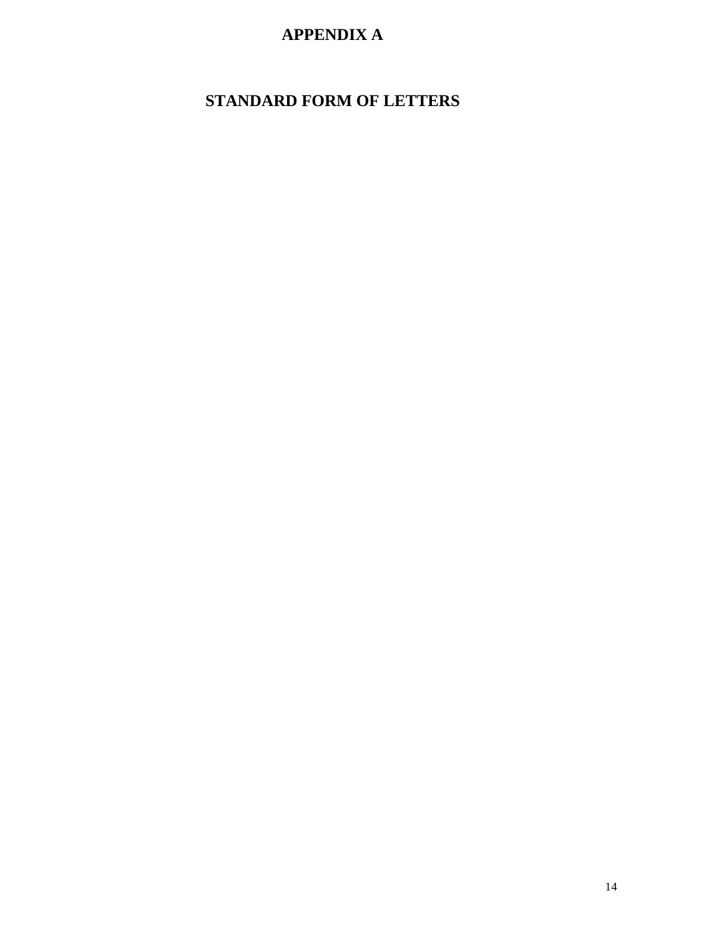# **APPENDIX A**

# **STANDARD FORM OF LETTERS**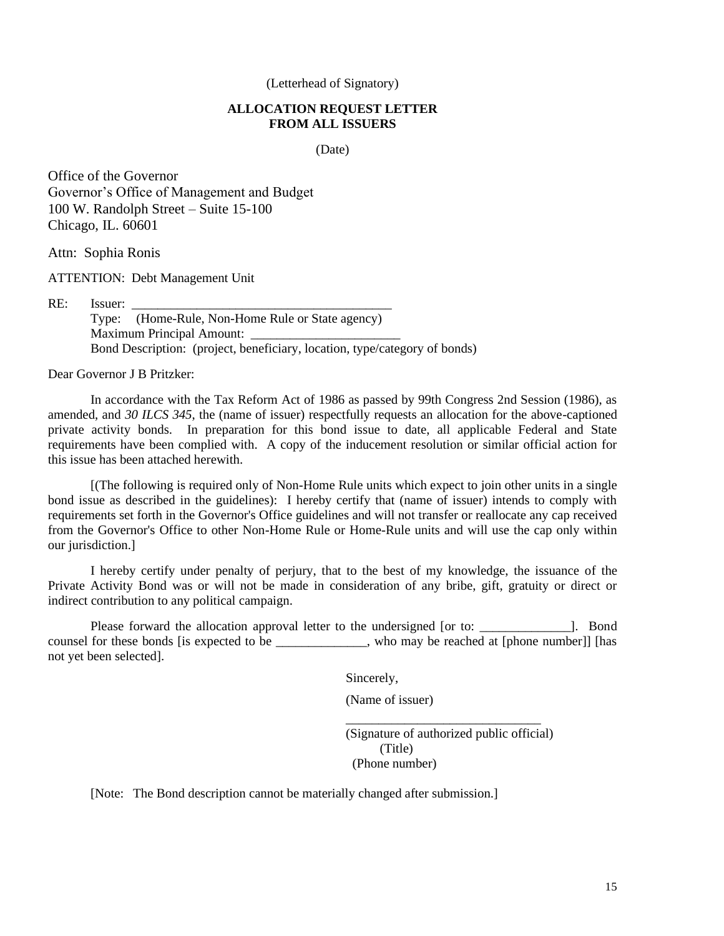(Letterhead of Signatory)

#### **ALLOCATION REQUEST LETTER FROM ALL ISSUERS**

(Date)

Office of the Governor Governor's Office of Management and Budget 100 W. Randolph Street – Suite 15-100 Chicago, IL. 60601

Attn: Sophia Ronis

ATTENTION: Debt Management Unit

RE: Issuer: \_\_\_\_\_\_\_\_\_\_\_\_\_\_\_\_\_\_\_\_\_\_\_\_\_\_\_\_\_\_\_\_\_\_\_\_\_\_\_\_ Type: (Home-Rule, Non-Home Rule or State agency) Maximum Principal Amount: Bond Description: (project, beneficiary, location, type/category of bonds)

Dear Governor J B Pritzker:

In accordance with the Tax Reform Act of 1986 as passed by 99th Congress 2nd Session (1986), as amended, and *30 ILCS 345*, the (name of issuer) respectfully requests an allocation for the above-captioned private activity bonds. In preparation for this bond issue to date, all applicable Federal and State requirements have been complied with. A copy of the inducement resolution or similar official action for this issue has been attached herewith.

[(The following is required only of Non-Home Rule units which expect to join other units in a single bond issue as described in the guidelines): I hereby certify that (name of issuer) intends to comply with requirements set forth in the Governor's Office guidelines and will not transfer or reallocate any cap received from the Governor's Office to other Non-Home Rule or Home-Rule units and will use the cap only within our jurisdiction.]

I hereby certify under penalty of perjury, that to the best of my knowledge, the issuance of the Private Activity Bond was or will not be made in consideration of any bribe, gift, gratuity or direct or indirect contribution to any political campaign.

Please forward the allocation approval letter to the undersigned [or to:  $\qquad \qquad$  ]. Bond counsel for these bonds [is expected to be \_\_\_\_\_\_\_\_\_\_\_\_\_\_, who may be reached at [phone number]] [has not yet been selected].

Sincerely,

(Name of issuer)

(Signature of authorized public official) (Title) (Phone number)

\_\_\_\_\_\_\_\_\_\_\_\_\_\_\_\_\_\_\_\_\_\_\_\_\_\_\_\_\_\_

[Note: The Bond description cannot be materially changed after submission.]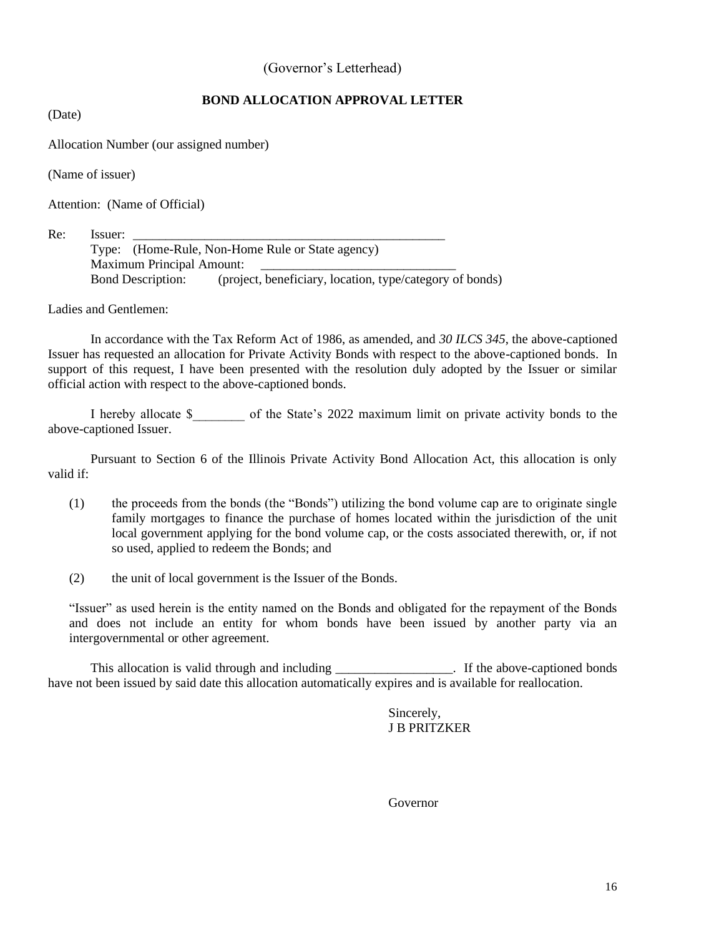#### (Governor's Letterhead)

### **BOND ALLOCATION APPROVAL LETTER**

(Date)

Allocation Number (our assigned number)

(Name of issuer)

Attention: (Name of Official)

Re: Issuer: \_\_\_\_\_\_\_\_\_\_\_\_\_\_\_\_\_\_\_\_\_\_\_\_\_\_\_\_\_\_\_\_\_\_\_\_\_\_\_\_\_\_\_\_\_\_\_\_

Type: (Home-Rule, Non-Home Rule or State agency) Maximum Principal Amount: Bond Description: (project, beneficiary, location, type/category of bonds)

Ladies and Gentlemen:

In accordance with the Tax Reform Act of 1986, as amended, and *30 ILCS 345*, the above-captioned Issuer has requested an allocation for Private Activity Bonds with respect to the above-captioned bonds. In support of this request, I have been presented with the resolution duly adopted by the Issuer or similar official action with respect to the above-captioned bonds.

I hereby allocate \$\_\_\_\_\_\_\_\_ of the State's 2022 maximum limit on private activity bonds to the above-captioned Issuer.

Pursuant to Section 6 of the Illinois Private Activity Bond Allocation Act, this allocation is only valid if:

- (1) the proceeds from the bonds (the "Bonds") utilizing the bond volume cap are to originate single family mortgages to finance the purchase of homes located within the jurisdiction of the unit local government applying for the bond volume cap, or the costs associated therewith, or, if not so used, applied to redeem the Bonds; and
- (2) the unit of local government is the Issuer of the Bonds.

"Issuer" as used herein is the entity named on the Bonds and obligated for the repayment of the Bonds and does not include an entity for whom bonds have been issued by another party via an intergovernmental or other agreement.

This allocation is valid through and including \_\_\_\_\_\_\_\_\_\_\_\_\_\_\_\_. If the above-captioned bonds have not been issued by said date this allocation automatically expires and is available for reallocation.

> Sincerely, J B PRITZKER

Governor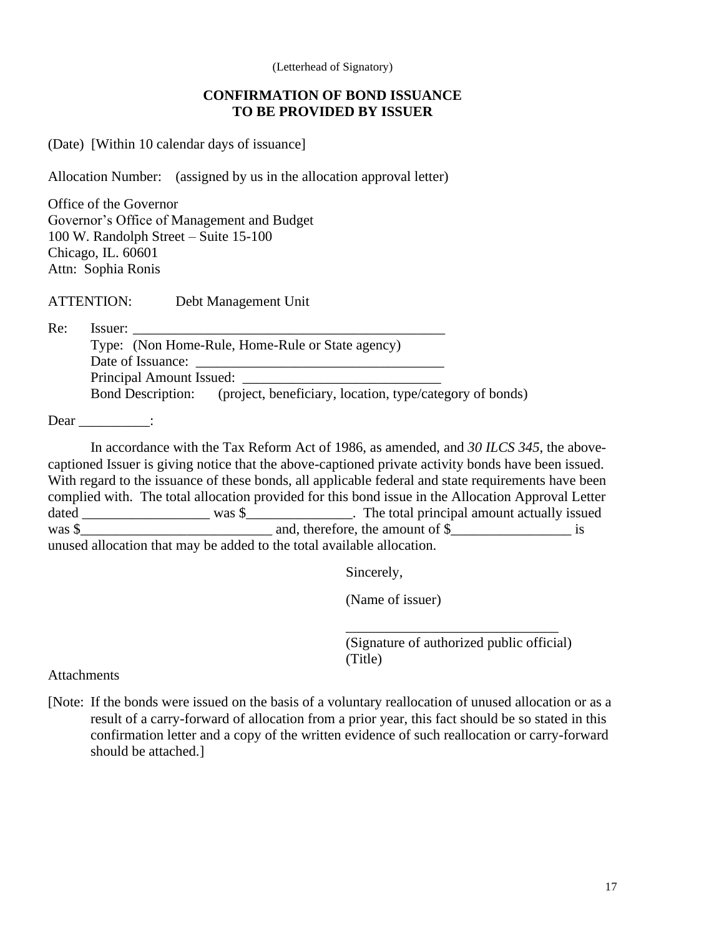(Letterhead of Signatory)

### **CONFIRMATION OF BOND ISSUANCE TO BE PROVIDED BY ISSUER**

(Date) [Within 10 calendar days of issuance]

Allocation Number: (assigned by us in the allocation approval letter)

Office of the Governor Governor's Office of Management and Budget 100 W. Randolph Street – Suite 15-100 Chicago, IL. 60601 Attn: Sophia Ronis

ATTENTION: Debt Management Unit

Re: Issuer:

Type: (Non Home-Rule, Home-Rule or State agency) Date of Issuance: Principal Amount Issued: Bond Description: (project, beneficiary, location, type/category of bonds)

Dear :

In accordance with the Tax Reform Act of 1986, as amended, and *30 ILCS 345*, the abovecaptioned Issuer is giving notice that the above-captioned private activity bonds have been issued. With regard to the issuance of these bonds, all applicable federal and state requirements have been complied with. The total allocation provided for this bond issue in the Allocation Approval Letter dated \_\_\_\_\_\_\_\_\_\_\_\_\_\_\_\_\_\_\_\_\_\_\_ was \$\_\_\_\_\_\_\_\_\_\_\_\_. The total principal amount actually issued and therefore, the amount of  $\frac{1}{2}$  is and, therefore, the amount of \$ \_\_\_\_\_\_\_\_\_\_\_\_\_\_\_\_\_\_\_ is unused allocation that may be added to the total available allocation.

Sincerely,

(Name of issuer)

(Signature of authorized public official) (Title)

\_\_\_\_\_\_\_\_\_\_\_\_\_\_\_\_\_\_\_\_\_\_\_\_\_\_\_\_\_\_

**Attachments** 

[Note: If the bonds were issued on the basis of a voluntary reallocation of unused allocation or as a result of a carry-forward of allocation from a prior year, this fact should be so stated in this confirmation letter and a copy of the written evidence of such reallocation or carry-forward should be attached.]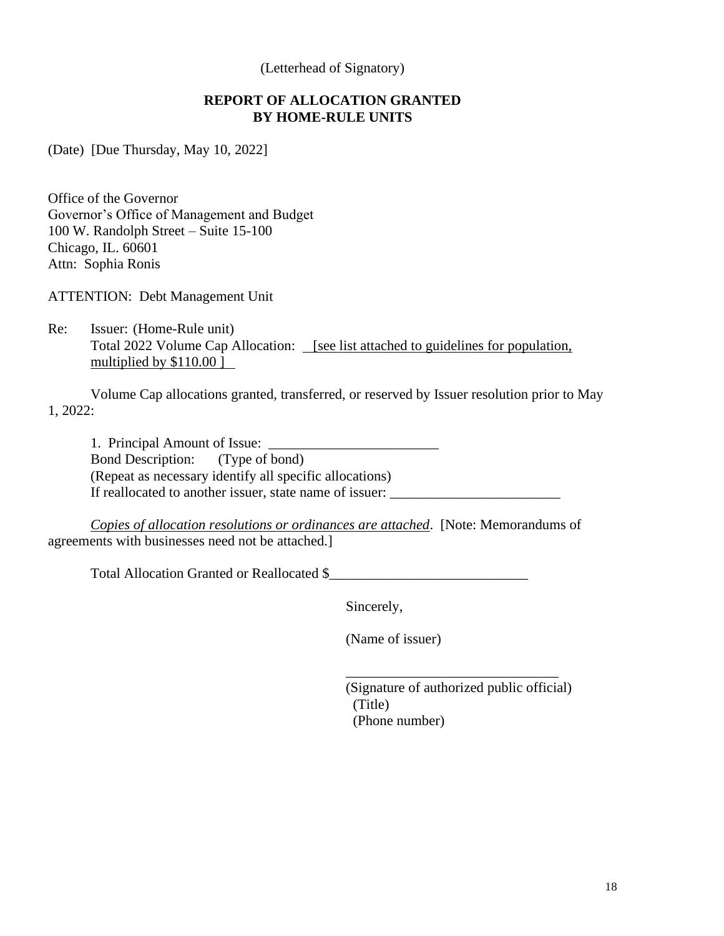(Letterhead of Signatory)

### **REPORT OF ALLOCATION GRANTED BY HOME-RULE UNITS**

(Date) [Due Thursday, May 10, 2022]

Office of the Governor Governor's Office of Management and Budget 100 W. Randolph Street – Suite 15-100 Chicago, IL. 60601 Attn: Sophia Ronis

ATTENTION: Debt Management Unit

Re: Issuer: (Home-Rule unit) Total 2022 Volume Cap Allocation: [see list attached to guidelines for population, multiplied by \$110.00 ]

Volume Cap allocations granted, transferred, or reserved by Issuer resolution prior to May 1, 2022:

1. Principal Amount of Issue: Bond Description: (Type of bond) (Repeat as necessary identify all specific allocations) If reallocated to another issuer, state name of issuer: \_\_\_\_\_\_\_\_\_\_\_\_\_\_\_\_\_\_\_\_\_\_\_\_\_

*Copies of allocation resolutions or ordinances are attached*. [Note: Memorandums of agreements with businesses need not be attached.]

Total Allocation Granted or Reallocated \$\_\_\_\_\_\_\_\_\_\_\_\_\_\_\_\_\_\_\_\_\_\_\_\_\_\_\_\_

Sincerely,

(Name of issuer)

(Signature of authorized public official) (Title) (Phone number)

\_\_\_\_\_\_\_\_\_\_\_\_\_\_\_\_\_\_\_\_\_\_\_\_\_\_\_\_\_\_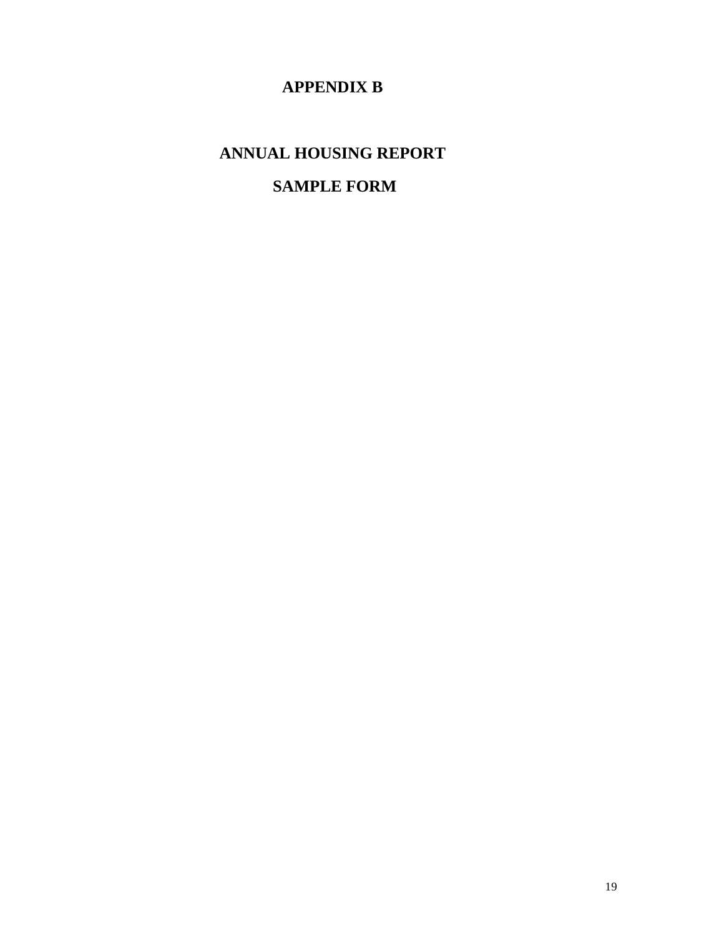# **APPENDIX B**

# **ANNUAL HOUSING REPORT**

# **SAMPLE FORM**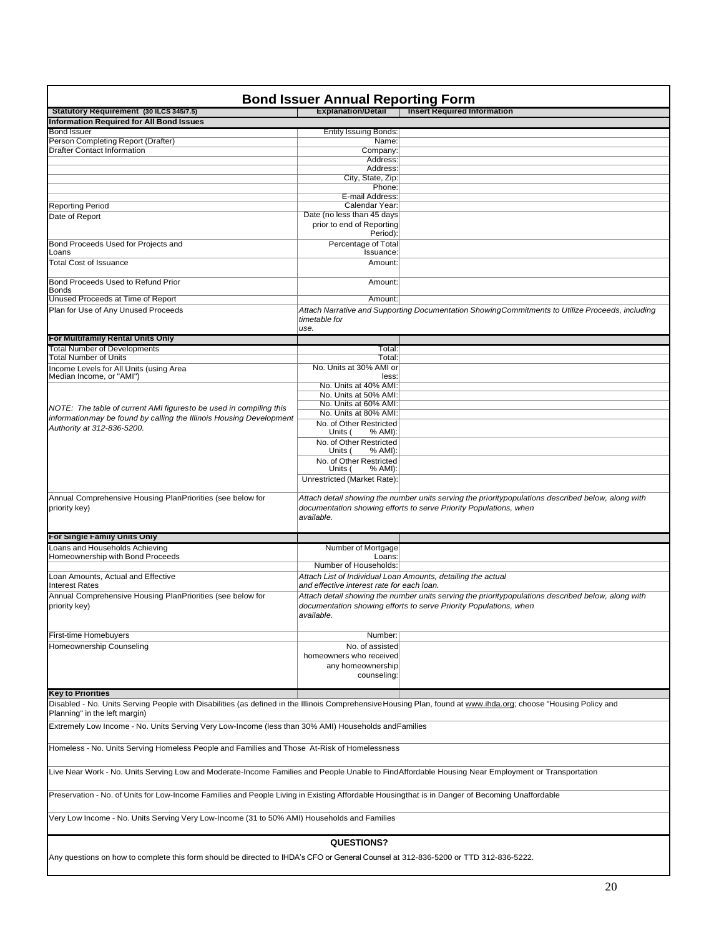| <b>Bond Issuer Annual Reporting Form</b>                                                                                                                                                         |                                                   |                                                                                                    |  |  |  |
|--------------------------------------------------------------------------------------------------------------------------------------------------------------------------------------------------|---------------------------------------------------|----------------------------------------------------------------------------------------------------|--|--|--|
| Statutory Requirement (30 ILCS 345/7.5)                                                                                                                                                          | <b>Explanation/Detail</b>                         | <b>Insert Required Information</b>                                                                 |  |  |  |
| <b>Information Required for All Bond Issues</b>                                                                                                                                                  |                                                   |                                                                                                    |  |  |  |
| <b>Bond Issuer</b>                                                                                                                                                                               | <b>Entity Issuing Bonds:</b>                      |                                                                                                    |  |  |  |
| Person Completing Report (Drafter)                                                                                                                                                               | Name:                                             |                                                                                                    |  |  |  |
| <b>Drafter Contact Information</b>                                                                                                                                                               | Company:                                          |                                                                                                    |  |  |  |
|                                                                                                                                                                                                  | Address:                                          |                                                                                                    |  |  |  |
|                                                                                                                                                                                                  | Address:                                          |                                                                                                    |  |  |  |
|                                                                                                                                                                                                  | City, State, Zip:<br>Phone:                       |                                                                                                    |  |  |  |
|                                                                                                                                                                                                  | E-mail Address:                                   |                                                                                                    |  |  |  |
| <b>Reporting Period</b>                                                                                                                                                                          | Calendar Year:                                    |                                                                                                    |  |  |  |
| Date of Report                                                                                                                                                                                   | Date (no less than 45 days                        |                                                                                                    |  |  |  |
|                                                                                                                                                                                                  | prior to end of Reporting<br>Period):             |                                                                                                    |  |  |  |
| Bond Proceeds Used for Projects and                                                                                                                                                              | Percentage of Total                               |                                                                                                    |  |  |  |
| Loans                                                                                                                                                                                            | Issuance:                                         |                                                                                                    |  |  |  |
| <b>Total Cost of Issuance</b>                                                                                                                                                                    | Amount:                                           |                                                                                                    |  |  |  |
| Bond Proceeds Used to Refund Prior<br><b>Bonds</b>                                                                                                                                               | Amount:                                           |                                                                                                    |  |  |  |
| Unused Proceeds at Time of Report                                                                                                                                                                | Amount:                                           |                                                                                                    |  |  |  |
| Plan for Use of Any Unused Proceeds                                                                                                                                                              | timetable for<br>use.                             | Attach Narrative and Supporting Documentation ShowingCommitments to Utilize Proceeds, including    |  |  |  |
| For Multifamily Rental Units Only                                                                                                                                                                |                                                   |                                                                                                    |  |  |  |
| <b>Total Number of Developments</b>                                                                                                                                                              | Total:                                            |                                                                                                    |  |  |  |
| <b>Total Number of Units</b>                                                                                                                                                                     | Total:                                            |                                                                                                    |  |  |  |
| Income Levels for All Units (using Area<br>Median Income, or "AMI")                                                                                                                              | No. Units at 30% AMI or<br>less:                  |                                                                                                    |  |  |  |
|                                                                                                                                                                                                  | No. Units at 40% AMI:                             |                                                                                                    |  |  |  |
|                                                                                                                                                                                                  | No. Units at 50% AMI:                             |                                                                                                    |  |  |  |
| NOTE: The table of current AMI figuresto be used in compiling this                                                                                                                               | No. Units at 60% AMI:                             |                                                                                                    |  |  |  |
| information may be found by calling the Illinois Housing Development                                                                                                                             | No. Units at 80% AMI:                             |                                                                                                    |  |  |  |
| Authority at 312-836-5200.                                                                                                                                                                       | No. of Other Restricted<br>Units (<br>% AMI):     |                                                                                                    |  |  |  |
|                                                                                                                                                                                                  | No. of Other Restricted<br>Units (<br>% AMI):     |                                                                                                    |  |  |  |
|                                                                                                                                                                                                  | No. of Other Restricted                           |                                                                                                    |  |  |  |
|                                                                                                                                                                                                  | Units (<br>% AMI):<br>Unrestricted (Market Rate): |                                                                                                    |  |  |  |
|                                                                                                                                                                                                  |                                                   |                                                                                                    |  |  |  |
| Annual Comprehensive Housing PlanPriorities (see below for                                                                                                                                       |                                                   | Attach detail showing the number units serving the prioritypopulations described below, along with |  |  |  |
| priority key)                                                                                                                                                                                    |                                                   | documentation showing efforts to serve Priority Populations, when                                  |  |  |  |
|                                                                                                                                                                                                  | available.                                        |                                                                                                    |  |  |  |
|                                                                                                                                                                                                  |                                                   |                                                                                                    |  |  |  |
| For Single Family Units Only                                                                                                                                                                     |                                                   |                                                                                                    |  |  |  |
| Loans and Households Achieving                                                                                                                                                                   | Number of Mortgage                                |                                                                                                    |  |  |  |
| Homeownership with Bond Proceeds                                                                                                                                                                 | Loans:                                            |                                                                                                    |  |  |  |
|                                                                                                                                                                                                  | Number of Households:                             |                                                                                                    |  |  |  |
| Loan Amounts, Actual and Effective<br><b>Interest Rates</b>                                                                                                                                      | and effective interest rate for each loan.        | Attach List of Individual Loan Amounts, detailing the actual                                       |  |  |  |
| Annual Comprehensive Housing PlanPriorities (see below for                                                                                                                                       |                                                   | Attach detail showing the number units serving the prioritypopulations described below, along with |  |  |  |
| priority key)                                                                                                                                                                                    | available.                                        | documentation showing efforts to serve Priority Populations, when                                  |  |  |  |
| First-time Homebuyers                                                                                                                                                                            | Number:                                           |                                                                                                    |  |  |  |
| Homeownership Counseling                                                                                                                                                                         | No. of assisted                                   |                                                                                                    |  |  |  |
|                                                                                                                                                                                                  | homeowners who received                           |                                                                                                    |  |  |  |
|                                                                                                                                                                                                  | any homeownership                                 |                                                                                                    |  |  |  |
|                                                                                                                                                                                                  | counseling:                                       |                                                                                                    |  |  |  |
|                                                                                                                                                                                                  |                                                   |                                                                                                    |  |  |  |
| <b>Key to Priorities</b>                                                                                                                                                                         |                                                   |                                                                                                    |  |  |  |
| Disabled - No. Units Serving People with Disabilities (as defined in the Illinois Comprehensive Housing Plan, found at www.ihda.org; choose "Housing Policy and<br>Planning" in the left margin) |                                                   |                                                                                                    |  |  |  |
|                                                                                                                                                                                                  |                                                   |                                                                                                    |  |  |  |
| Extremely Low Income - No. Units Serving Very Low-Income (less than 30% AMI) Households and Families                                                                                             |                                                   |                                                                                                    |  |  |  |
| Homeless - No. Units Serving Homeless People and Families and Those At-Risk of Homelessness                                                                                                      |                                                   |                                                                                                    |  |  |  |
| Live Near Work - No. Units Serving Low and Moderate-Income Families and People Unable to FindAffordable Housing Near Employment or Transportation                                                |                                                   |                                                                                                    |  |  |  |
| Preservation - No. of Units for Low-Income Families and People Living in Existing Affordable Housingthat is in Danger of Becoming Unaffordable                                                   |                                                   |                                                                                                    |  |  |  |
| Very Low Income - No. Units Serving Very Low-Income (31 to 50% AMI) Households and Families                                                                                                      |                                                   |                                                                                                    |  |  |  |
|                                                                                                                                                                                                  |                                                   |                                                                                                    |  |  |  |
|                                                                                                                                                                                                  | QUESTIONS?                                        |                                                                                                    |  |  |  |
| Any questions on how to complete this form should be directed to IHDA's CFO or General Counsel at 312-836-5200 or TTD 312-836-5222.                                                              |                                                   |                                                                                                    |  |  |  |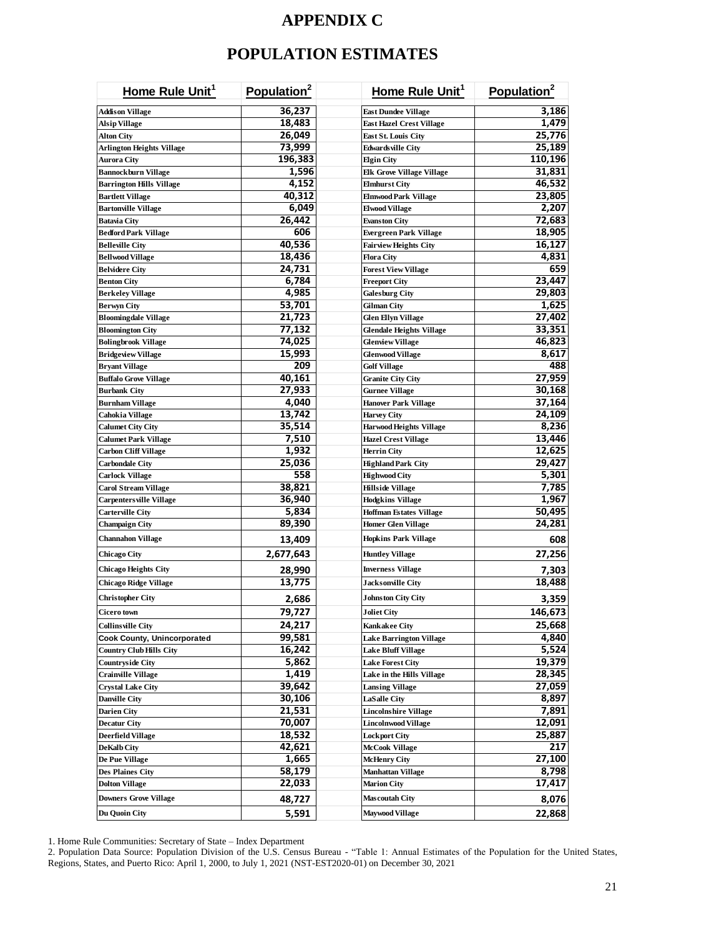# **APPENDIX C**

# **POPULATION ESTIMATES**

| Home Rule Unit <sup>1</sup>        | Population <sup>2</sup> | Home Rule Unit <sup>1</sup>     | Population <sup>2</sup> |
|------------------------------------|-------------------------|---------------------------------|-------------------------|
| <b>Addison Village</b>             | 36,237                  | East Dundee Village             | 3,186                   |
| Alsip Village                      | 18,483                  | <b>East Hazel Crest Village</b> | 1,479                   |
| Alton City                         | 26,049                  | East St. Louis City             | 25,776                  |
| Arlington Heights Village          | 73,999                  | Edwards ville City              | 25,189                  |
| Aurora City                        | 196,383                 | <b>Elgin City</b>               | 110,196                 |
| <b>Bannockburn Village</b>         | 1,596                   | Elk Grove Village Village       | 31,831                  |
| <b>Barrington Hills Village</b>    | 4,152                   | Elmhurst City                   | 46,532                  |
| <b>Bartlett Village</b>            | 40,312                  | <b>Elmwood Park Village</b>     | 23,805                  |
| <b>Bartonville Village</b>         | 6,049                   | Elwood Village                  | 2,207                   |
| Batavia City                       | 26,442                  | Evanston City                   | 72,683                  |
| <b>Bedford Park Village</b>        | 606                     | Evergreen Park Village          | 18,905                  |
| <b>Belleville City</b>             | 40,536                  | Fairview Heights City           | 16,127                  |
| <b>Bellwood Village</b>            | 18,436                  | <b>Flora City</b>               | 4,831                   |
| <b>Belvidere City</b>              | 24,731                  | <b>Forest View Village</b>      | 659                     |
| <b>Benton City</b>                 | 6,784                   | Freeport City                   | 23,447                  |
| <b>Berkeley Village</b>            | 4,985                   | Galesburg City                  | 29,803                  |
| Berwyn City                        | 53,701                  | Gilman City                     | 1,625                   |
| <b>Bloomingdale Village</b>        | 21,723                  | Glen Ellyn Village              | 27,402                  |
| Bloomington City                   | 77,132                  | Glendale Heights Village        | 33,351                  |
| <b>Bolingbrook Village</b>         | 74,025                  | <b>Glenview Village</b>         | 46,823                  |
| Bridgeview Village                 | 15,993                  | Glenwood Village                | 8,617                   |
| <b>Bryant Village</b>              | 209                     | Golf Village                    | 488                     |
| <b>Buffalo Grove Village</b>       | 40,161                  | Granite City City               | 27,959                  |
| <b>Burbank City</b>                | 27,933                  | Gurnee Village                  | 30,168                  |
| Burnham Village                    | 4,040                   | Hanover Park Village            | 37,164                  |
| Cahokia Village                    | 13,742                  | Harvey City                     | 24,109                  |
| <b>Calumet City City</b>           | 35,514                  | Harwood Heights Village         | 8,236                   |
| Calumet Park Village               | 7,510                   | <b>Hazel Crest Village</b>      | 13,446                  |
| Carbon Cliff Village               | 1,932                   | Herrin City                     | 12,625                  |
| Carbondale City                    | 25,036                  | Highland Park City              | 29,427                  |
| Carlock Village                    | 558                     | Highwood City                   | 5,301                   |
| Carol Stream Village               | 38,821                  | Hillside Village                | 7,785                   |
| Carpenters ville Village           | 36,940                  | Hodgkins Village                | 1,967                   |
| <b>Carterville City</b>            | 5,834                   | Hoffman Estates Village         | 50,495                  |
| Champaign City                     | 89,390                  | Homer Glen Village              | 24,281                  |
| Channahon Village                  | 13,409                  | Hopkins Park Village            | 608                     |
| Chicago City                       | 2,677,643               | Huntley Village                 | 27,256                  |
| Chicago Heights City               | 28,990                  | Inverness Village               | 7,303                   |
| Chicago Ridge Village              | 13,775                  | <b>Jacksonville City</b>        | 18,488                  |
| <b>Christopher City</b>            | 2,686                   | <b>Johnston City City</b>       | 3,359                   |
| Cicero town                        | 79,727                  | <b>Joliet City</b>              | 146,673                 |
| <b>Collins ville City</b>          | 24,217                  | Kankakee City                   | 25,668                  |
| <b>Cook County, Unincorporated</b> | 99,581                  | <b>Lake Barrington Village</b>  | 4,840                   |
| <b>Country Club Hills City</b>     | 16,242                  | Lake Bluff Village              | 5,524                   |
| <b>Countryside City</b>            | 5,862                   | <b>Lake Forest City</b>         | 19,379                  |
| <b>Crainville Village</b>          | 1,419                   | Lake in the Hills Village       | 28,345                  |
| <b>Crystal Lake City</b>           | 39,642                  | <b>Lansing Village</b>          | 27,059                  |
| <b>Danville City</b>               | 30,106                  | <b>LaSalle City</b>             | 8,897                   |
| <b>Darien City</b>                 | 21,531                  | <b>Lincolnshire Village</b>     | 7,891                   |
| <b>Decatur City</b>                | 70,007                  | <b>Lincolnwood Village</b>      | 12,091                  |
| <b>Deerfield Village</b>           | 18,532                  | <b>Lockport City</b>            | 25,887                  |
| DeKalb City                        | 42,621                  | McCook Village                  | 217                     |
| De Pue Village                     | 1,665                   | McHenry City                    | 27,100                  |
| Des Plaines City                   | 58,179                  | Manhattan Village               | 8,798                   |
| <b>Dolton Village</b>              | 22,033                  | <b>Marion City</b>              | 17,417                  |
| <b>Downers Grove Village</b>       | 48,727                  | Mascoutah City                  | 8,076                   |
| Du Quoin City                      | 5,591                   | Maywood Village                 | 22,868                  |

1. Home Rule Communities: Secretary of State – Index Department

2. Population Data Source: Population Division of the U.S. Census Bureau - "Table 1: Annual Estimates of the Population for the United States, Regions, States, and Puerto Rico: April 1, 2000, to July 1, 2021 (NST-EST2020-01) on December 30, 2021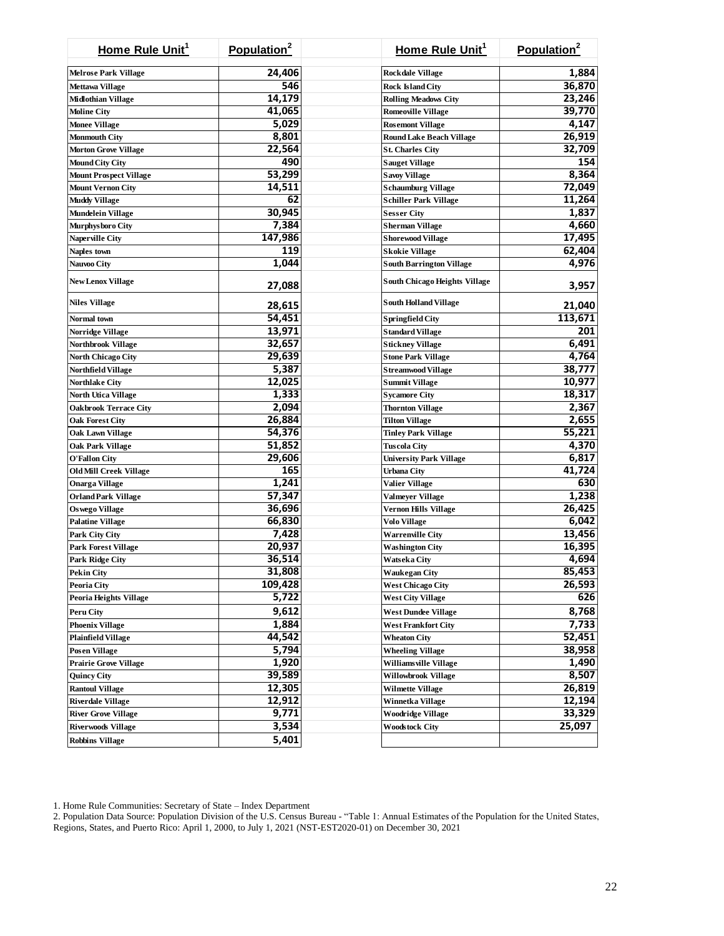| Home Rule Unit <sup>1</sup>   | Population <sup>2</sup> | Home Rule Unit <sup>1</sup>          | Population <sup>2</sup> |
|-------------------------------|-------------------------|--------------------------------------|-------------------------|
| <b>Melrose Park Village</b>   | 24,406                  | <b>Rockdale Village</b>              | 1,884                   |
| <b>Mettawa Village</b>        | 546                     | <b>Rock Island City</b>              | 36,870                  |
| Midlothian Village            | 14,179                  | <b>Rolling Meadows City</b>          | 23,246                  |
| <b>Moline City</b>            | 41,065                  | <b>Romeoville Village</b>            | 39,770                  |
| <b>Monee Village</b>          | 5,029                   | <b>Rosemont Village</b>              | 4,147                   |
| Monmouth City                 | 8,801                   | <b>Round Lake Beach Village</b>      | 26,919                  |
| <b>Morton Grove Village</b>   | 22,564                  | <b>St. Charles City</b>              | 32,709                  |
| Mound City City               | 490                     | <b>Sauget Village</b>                | 154                     |
| <b>Mount Prospect Village</b> | 53,299                  | <b>Savoy Village</b>                 | 8,364                   |
| <b>Mount Vernon City</b>      | 14,511                  | <b>Schaumburg Village</b>            | 72,049                  |
| <b>Muddy Village</b>          | 62                      | Schiller Park Village                | 11,264                  |
| Mundelein Village             | 30,945                  | <b>Sesser City</b>                   | 1,837                   |
| Murphysboro City              | 7,384                   | <b>Sherman Village</b>               | 4,660                   |
| <b>Naperville City</b>        | 147,986                 | <b>Shorewood Village</b>             | 17,495                  |
| Naples town                   | 119                     | <b>Skokie Village</b>                | 62,404                  |
| <b>Nauvoo City</b>            | 1,044                   | <b>South Barrington Village</b>      | 4,976                   |
|                               |                         |                                      |                         |
| <b>New Lenox Village</b>      | 27,088                  | <b>South Chicago Heights Village</b> | 3,957                   |
| <b>Niles Village</b>          | 28,615                  | <b>South Holland Village</b>         | 21,040                  |
| Normal town                   | 54,451                  | Springfield City                     | 113,671                 |
| Norridge Village              | 13,971                  | <b>Standard Village</b>              | 201                     |
| <b>Northbrook Village</b>     | 32,657                  | <b>Stickney Village</b>              | 6,491                   |
| <b>North Chicago City</b>     | 29,639                  | <b>Stone Park Village</b>            | 4,764                   |
| Northfield Village            | 5,387                   | <b>Streamwood Village</b>            | 38,777                  |
| <b>Northlake City</b>         | 12,025                  | <b>Summit Village</b>                | 10,977                  |
| <b>North Utica Village</b>    | 1,333                   | <b>Sycamore City</b>                 | 18,317                  |
| <b>Oakbrook Terrace City</b>  | 2,094                   | <b>Thornton Village</b>              | 2,367                   |
| <b>Oak Forest City</b>        | 26,884                  | <b>Tilton Village</b>                | 2,655                   |
| Oak Lawn Village              | 54,376                  | <b>Tinley Park Village</b>           | 55,221                  |
| Oak Park Village              | 51,852                  | Tuscola City                         | 4,370                   |
| <b>O'Fallon City</b>          | 29,606                  | <b>University Park Village</b>       | 6,817                   |
| <b>Old Mill Creek Village</b> | 165                     | <b>Urbana City</b>                   | 41,724                  |
| <b>Onarga Village</b>         | 1,241                   | Valier Village                       | 630                     |
| <b>Orland Park Village</b>    | 57,347                  | Valmeyer Village                     | 1,238                   |
| <b>Oswego Village</b>         | 36,696                  | <b>Vernon Hills Village</b>          | 26,425                  |
| <b>Palatine Village</b>       | 66,830                  | Volo Village                         | 6,042                   |
| Park City City                | 7,428                   | <b>Warrenville City</b>              | 13,456                  |
| <b>Park Forest Village</b>    | 20,937                  | Washington City                      | 16,395                  |
| Park Ridge City               | 36,514                  | Watseka City                         | 4,694                   |
| <b>Pekin City</b>             | 31,808                  | <b>Waukegan City</b>                 | 85,453                  |
| <b>Peoria City</b>            | 109,428                 | <b>West Chicago City</b>             | 26,593                  |
| <b>Peoria Heights Village</b> | 5,722                   | <b>West City Village</b>             | 626                     |
| <b>Peru City</b>              | 9,612                   | <b>West Dundee Village</b>           | 8,768                   |
| <b>Phoenix Village</b>        | 1,884                   | <b>West Frankfort City</b>           | 7,733                   |
| <b>Plainfield Village</b>     | 44,542                  | <b>Wheaton City</b>                  | 52,451                  |
| <b>Posen Village</b>          | 5,794                   | <b>Wheeling Village</b>              | 38,958                  |
| <b>Prairie Grove Village</b>  | 1,920                   | Williams ville Village               | 1,490                   |
| <b>Quincy City</b>            | 39,589                  | <b>Willowbrook Village</b>           | 8,507                   |
| <b>Rantoul Village</b>        | 12,305                  | <b>Wilmette Village</b>              | 26,819                  |
| <b>Riverdale Village</b>      | 12,912                  | Winnetka Village                     | 12,194                  |
| <b>River Grove Village</b>    | 9,771                   | <b>Woodridge Village</b>             | 33,329                  |
| <b>Riverwoods Village</b>     | 3,534                   | <b>Woodstock City</b>                | 25,097                  |
| <b>Robbins Village</b>        | 5,401                   |                                      |                         |

1. Home Rule Communities: Secretary of State – Index Department

2. Population Data Source: Population Division of the U.S. Census Bureau - "Table 1: Annual Estimates of the Population for the United States, Regions, States, and Puerto Rico: April 1, 2000, to July 1, 2021 (NST-EST2020-01) on December 30, 2021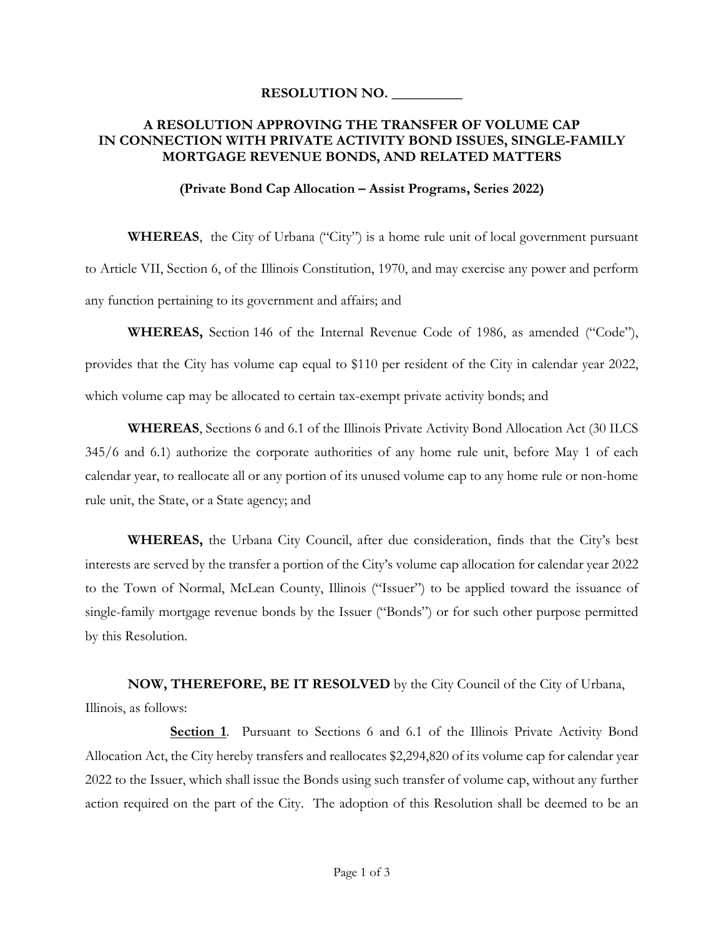### **RESOLUTION NO. \_\_\_\_\_\_\_\_\_\_**

### **A RESOLUTION APPROVING THE TRANSFER OF VOLUME CAP IN CONNECTION WITH PRIVATE ACTIVITY BOND ISSUES, SINGLE-FAMILY MORTGAGE REVENUE BONDS, AND RELATED MATTERS**

#### **(Private Bond Cap Allocation – Assist Programs, Series 2022)**

**WHEREAS**, the City of Urbana ("City") is a home rule unit of local government pursuant to Article VII, Section 6, of the Illinois Constitution, 1970, and may exercise any power and perform any function pertaining to its government and affairs; and

**WHEREAS,** Section 146 of the Internal Revenue Code of 1986, as amended ("Code"), provides that the City has volume cap equal to \$110 per resident of the City in calendar year 2022, which volume cap may be allocated to certain tax-exempt private activity bonds; and

**WHEREAS**, Sections 6 and 6.1 of the Illinois Private Activity Bond Allocation Act (30 ILCS 345/6 and 6.1) authorize the corporate authorities of any home rule unit, before May 1 of each calendar year, to reallocate all or any portion of its unused volume cap to any home rule or non-home rule unit, the State, or a State agency; and

**WHEREAS,** the Urbana City Council, after due consideration, finds that the City's best interests are served by the transfer a portion of the City's volume cap allocation for calendar year 2022 to the Town of Normal, McLean County, Illinois ("Issuer") to be applied toward the issuance of single-family mortgage revenue bonds by the Issuer ("Bonds") or for such other purpose permitted by this Resolution.

**NOW, THEREFORE, BE IT RESOLVED** by the City Council of the City of Urbana, Illinois, as follows:

**Section 1**. Pursuant to Sections 6 and 6.1 of the Illinois Private Activity Bond Allocation Act, the City hereby transfers and reallocates \$2,294,820 of its volume cap for calendar year 2022 to the Issuer, which shall issue the Bonds using such transfer of volume cap, without any further action required on the part of the City. The adoption of this Resolution shall be deemed to be an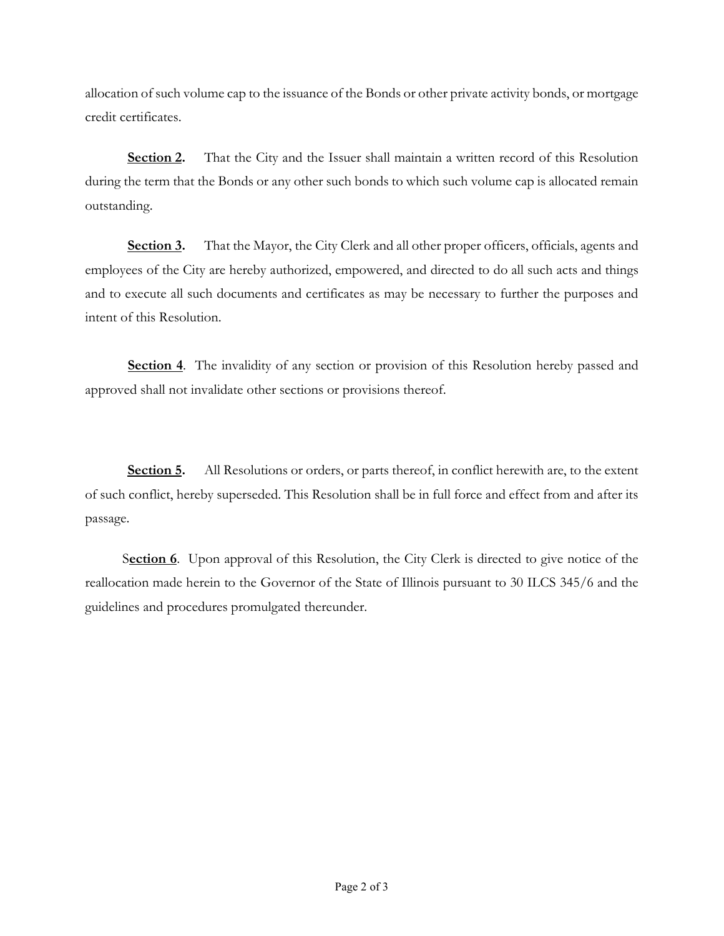allocation of such volume cap to the issuance of the Bonds or other private activity bonds, or mortgage credit certificates.

**Section 2.** That the City and the Issuer shall maintain a written record of this Resolution during the term that the Bonds or any other such bonds to which such volume cap is allocated remain outstanding.

**Section 3.** That the Mayor, the City Clerk and all other proper officers, officials, agents and employees of the City are hereby authorized, empowered, and directed to do all such acts and things and to execute all such documents and certificates as may be necessary to further the purposes and intent of this Resolution.

**Section 4.** The invalidity of any section or provision of this Resolution hereby passed and approved shall not invalidate other sections or provisions thereof.

**Section 5.** All Resolutions or orders, or parts thereof, in conflict herewith are, to the extent of such conflict, hereby superseded. This Resolution shall be in full force and effect from and after its passage.

S**ection 6**. Upon approval of this Resolution, the City Clerk is directed to give notice of the reallocation made herein to the Governor of the State of Illinois pursuant to 30 ILCS 345/6 and the guidelines and procedures promulgated thereunder.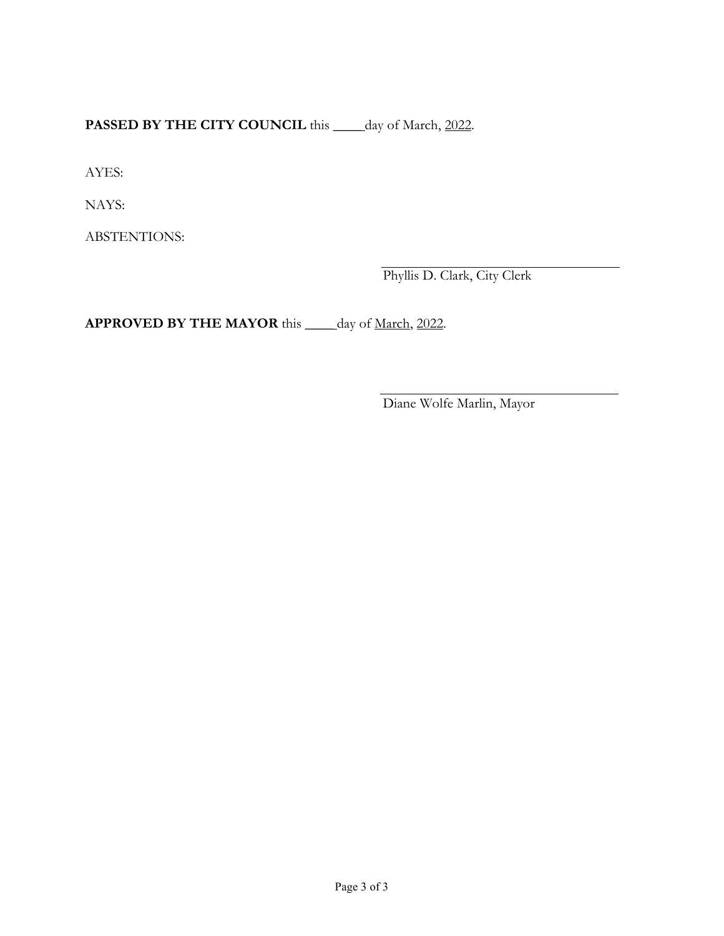**PASSED BY THE CITY COUNCIL** this \_\_\_\_ day of March, 2022.

AYES:

NAYS:

ABSTENTIONS:

Phyllis D. Clark, City Clerk

**APPROVED BY THE MAYOR** this \_\_\_\_ day of March, 2022.

Diane Wolfe Marlin, Mayor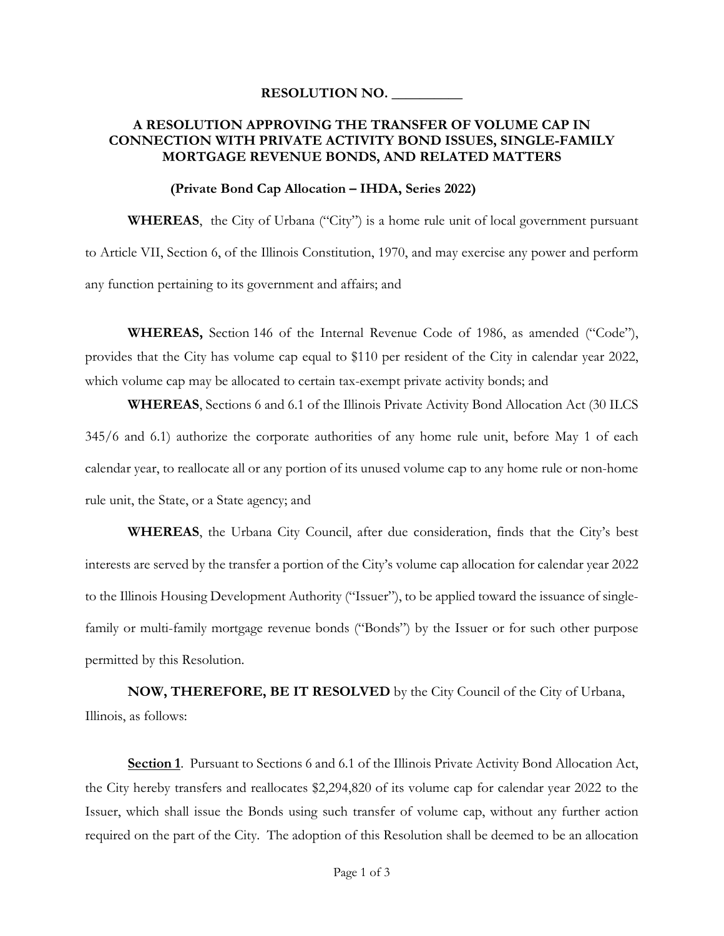#### **RESOLUTION NO. \_\_\_\_\_\_\_\_\_\_**

### **A RESOLUTION APPROVING THE TRANSFER OF VOLUME CAP IN CONNECTION WITH PRIVATE ACTIVITY BOND ISSUES, SINGLE-FAMILY MORTGAGE REVENUE BONDS, AND RELATED MATTERS**

#### **(Private Bond Cap Allocation – IHDA, Series 2022)**

**WHEREAS**, the City of Urbana ("City") is a home rule unit of local government pursuant to Article VII, Section 6, of the Illinois Constitution, 1970, and may exercise any power and perform any function pertaining to its government and affairs; and

**WHEREAS,** Section 146 of the Internal Revenue Code of 1986, as amended ("Code"), provides that the City has volume cap equal to \$110 per resident of the City in calendar year 2022, which volume cap may be allocated to certain tax-exempt private activity bonds; and

**WHEREAS**, Sections 6 and 6.1 of the Illinois Private Activity Bond Allocation Act (30 ILCS 345/6 and 6.1) authorize the corporate authorities of any home rule unit, before May 1 of each calendar year, to reallocate all or any portion of its unused volume cap to any home rule or non-home rule unit, the State, or a State agency; and

**WHEREAS**, the Urbana City Council, after due consideration, finds that the City's best interests are served by the transfer a portion of the City's volume cap allocation for calendar year 2022 to the Illinois Housing Development Authority ("Issuer"), to be applied toward the issuance of singlefamily or multi-family mortgage revenue bonds ("Bonds") by the Issuer or for such other purpose permitted by this Resolution.

**NOW, THEREFORE, BE IT RESOLVED** by the City Council of the City of Urbana, Illinois, as follows:

**Section 1**. Pursuant to Sections 6 and 6.1 of the Illinois Private Activity Bond Allocation Act, the City hereby transfers and reallocates \$2,294,820 of its volume cap for calendar year 2022 to the Issuer, which shall issue the Bonds using such transfer of volume cap, without any further action required on the part of the City. The adoption of this Resolution shall be deemed to be an allocation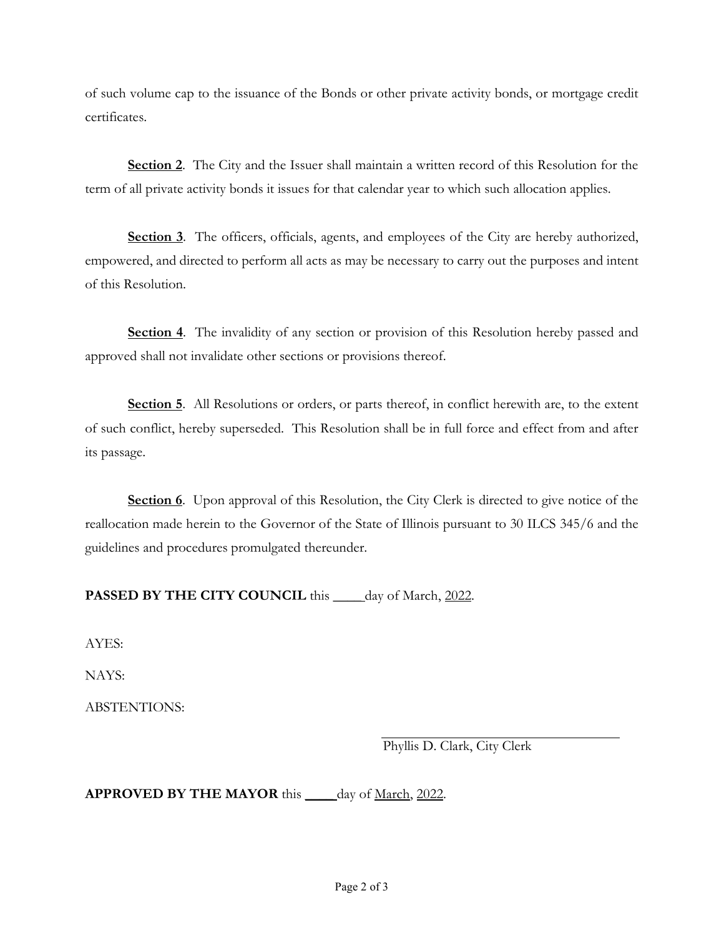of such volume cap to the issuance of the Bonds or other private activity bonds, or mortgage credit certificates.

**Section 2**. The City and the Issuer shall maintain a written record of this Resolution for the term of all private activity bonds it issues for that calendar year to which such allocation applies.

**Section 3**. The officers, officials, agents, and employees of the City are hereby authorized, empowered, and directed to perform all acts as may be necessary to carry out the purposes and intent of this Resolution.

**Section 4**. The invalidity of any section or provision of this Resolution hereby passed and approved shall not invalidate other sections or provisions thereof.

**Section 5**. All Resolutions or orders, or parts thereof, in conflict herewith are, to the extent of such conflict, hereby superseded. This Resolution shall be in full force and effect from and after its passage.

**Section 6**. Upon approval of this Resolution, the City Clerk is directed to give notice of the reallocation made herein to the Governor of the State of Illinois pursuant to 30 ILCS 345/6 and the guidelines and procedures promulgated thereunder.

# PASSED BY THE CITY COUNCIL this \_\_\_\_ day of March, 2022.

AYES:

NAYS:

ABSTENTIONS:

Phyllis D. Clark, City Clerk

**APPROVED BY THE MAYOR** this \_\_\_\_ day of March, 2022.